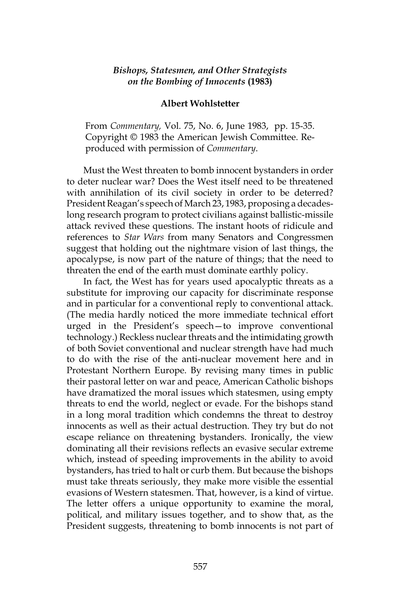## *Bishops, Statesmen, and Other Strategists on the Bombing of Innocents* **(1983)**

### **Albert Wohlstetter**

From *Commentary,* Vol. 75, No. 6, June 1983, pp. 15-35. Copyright © 1983 the American Jewish Committee. Reproduced with permission of *Commentary*.

Must the West threaten to bomb innocent bystanders in order to deter nuclear war? Does the West itself need to be threatened with annihilation of its civil society in order to be deterred? President Reagan's speech of March 23, 1983, proposing a decadeslong research program to protect civilians against ballistic-missile attack revived these questions. The instant hoots of ridicule and references to *Star Wars* from many Senators and Congressmen suggest that holding out the nightmare vision of last things, the apocalypse, is now part of the nature of things; that the need to threaten the end of the earth must dominate earthly policy.

In fact, the West has for years used apocalyptic threats as a substitute for improving our capacity for discriminate response and in particular for a conventional reply to conventional attack. (The media hardly noticed the more immediate technical effort urged in the President's speech—to improve conventional technology.) Reckless nuclear threats and the intimidating growth of both Soviet conventional and nuclear strength have had much to do with the rise of the anti-nuclear movement here and in Protestant Northern Europe. By revising many times in public their pastoral letter on war and peace, American Catholic bishops have dramatized the moral issues which statesmen, using empty threats to end the world, neglect or evade. For the bishops stand in a long moral tradition which condemns the threat to destroy innocents as well as their actual destruction. They try but do not escape reliance on threatening bystanders. Ironically, the view dominating all their revisions reflects an evasive secular extreme which, instead of speeding improvements in the ability to avoid bystanders, has tried to halt or curb them. But because the bishops must take threats seriously, they make more visible the essential evasions of Western statesmen. That, however, is a kind of virtue. The letter offers a unique opportunity to examine the moral, political, and military issues together, and to show that, as the President suggests, threatening to bomb innocents is not part of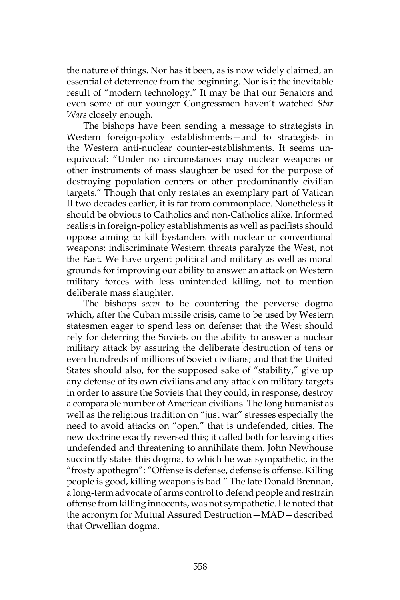the nature of things. Nor has it been, as is now widely claimed, an essential of deterrence from the beginning. Nor is it the inevitable result of "modern technology." It may be that our Senators and even some of our younger Congressmen haven't watched *Star Wars* closely enough.

The bishops have been sending a message to strategists in Western foreign-policy establishments—and to strategists in the Western anti-nuclear counter-establishments. It seems unequivocal: "Under no circumstances may nuclear weapons or other instruments of mass slaughter be used for the purpose of destroying population centers or other predominantly civilian targets." Though that only restates an exemplary part of Vatican II two decades earlier, it is far from commonplace. Nonetheless it should be obvious to Catholics and non-Catholics alike. Informed realists in foreign-policy establishments as well as pacifists should oppose aiming to kill bystanders with nuclear or conventional weapons: indiscriminate Western threats paralyze the West, not the East. We have urgent political and military as well as moral grounds for improving our ability to answer an attack on Western military forces with less unintended killing, not to mention deliberate mass slaughter.

The bishops *seem* to be countering the perverse dogma which, after the Cuban missile crisis, came to be used by Western statesmen eager to spend less on defense: that the West should rely for deterring the Soviets on the ability to answer a nuclear military attack by assuring the deliberate destruction of tens or even hundreds of millions of Soviet civilians; and that the United States should also, for the supposed sake of "stability," give up any defense of its own civilians and any attack on military targets in order to assure the Soviets that they could, in response, destroy a comparable number of American civilians. The long humanist as well as the religious tradition on "just war" stresses especially the need to avoid attacks on "open," that is undefended, cities. The new doctrine exactly reversed this; it called both for leaving cities undefended and threatening to annihilate them. John Newhouse succinctly states this dogma, to which he was sympathetic, in the "frosty apothegm": "Offense is defense, defense is offense. Killing people is good, killing weapons is bad." The late Donald Brennan, a long-term advocate of arms control to defend people and restrain offense from killing innocents, was not sympathetic. He noted that the acronym for Mutual Assured Destruction—MAD—described that Orwellian dogma.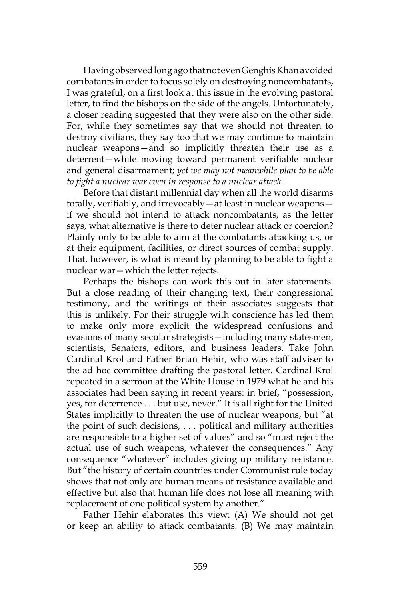Having observed long ago that not even Genghis Khan avoided combatants in order to focus solely on destroying noncombatants, I was grateful, on a first look at this issue in the evolving pastoral letter, to find the bishops on the side of the angels. Unfortunately, a closer reading suggested that they were also on the other side. For, while they sometimes say that we should not threaten to destroy civilians, they say too that we may continue to maintain nuclear weapons—and so implicitly threaten their use as a deterrent—while moving toward permanent verifiable nuclear and general disarmament; *yet we may not meanwhile plan to be able to fight a nuclear war even in response to a nuclear attack.*

Before that distant millennial day when all the world disarms totally, verifiably, and irrevocably—at least in nuclear weapons if we should not intend to attack noncombatants, as the letter says, what alternative is there to deter nuclear attack or coercion? Plainly only to be able to aim at the combatants attacking us, or at their equipment, facilities, or direct sources of combat supply. That, however, is what is meant by planning to be able to fight a nuclear war—which the letter rejects.

Perhaps the bishops can work this out in later statements. But a close reading of their changing text, their congressional testimony, and the writings of their associates suggests that this is unlikely. For their struggle with conscience has led them to make only more explicit the widespread confusions and evasions of many secular strategists—including many statesmen, scientists, Senators, editors, and business leaders. Take John Cardinal Krol and Father Brian Hehir, who was staff adviser to the ad hoc committee drafting the pastoral letter. Cardinal Krol repeated in a sermon at the White House in 1979 what he and his associates had been saying in recent years: in brief, "possession, yes, for deterrence . . . but use, never." It is all right for the United States implicitly to threaten the use of nuclear weapons, but "at the point of such decisions, . . . political and military authorities are responsible to a higher set of values" and so "must reject the actual use of such weapons, whatever the consequences." Any consequence "whatever" includes giving up military resistance. But "the history of certain countries under Communist rule today shows that not only are human means of resistance available and effective but also that human life does not lose all meaning with replacement of one political system by another."

Father Hehir elaborates this view: (A) We should not get or keep an ability to attack combatants. (B) We may maintain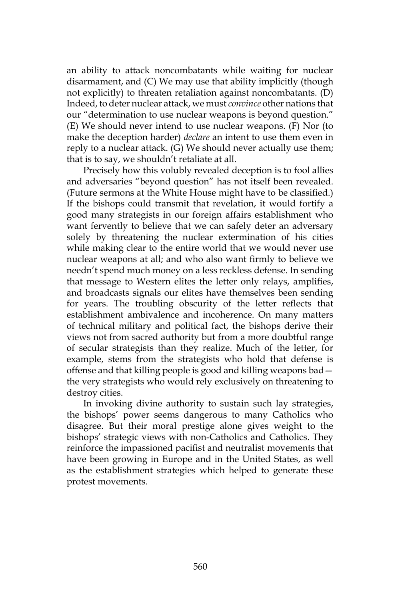an ability to attack noncombatants while waiting for nuclear disarmament, and (C) We may use that ability implicitly (though not explicitly) to threaten retaliation against noncombatants. (D) Indeed, to deter nuclear attack, we must *convince* other nations that our "determination to use nuclear weapons is beyond question." (E) We should never intend to use nuclear weapons. (F) Nor (to make the deception harder) *declare* an intent to use them even in reply to a nuclear attack. (G) We should never actually use them; that is to say, we shouldn't retaliate at all.

Precisely how this volubly revealed deception is to fool allies and adversaries "beyond question" has not itself been revealed. (Future sermons at the White House might have to be classified.) If the bishops could transmit that revelation, it would fortify a good many strategists in our foreign affairs establishment who want fervently to believe that we can safely deter an adversary solely by threatening the nuclear extermination of his cities while making clear to the entire world that we would never use nuclear weapons at all; and who also want firmly to believe we needn't spend much money on a less reckless defense. In sending that message to Western elites the letter only relays, amplifies, and broadcasts signals our elites have themselves been sending for years. The troubling obscurity of the letter reflects that establishment ambivalence and incoherence. On many matters of technical military and political fact, the bishops derive their views not from sacred authority but from a more doubtful range of secular strategists than they realize. Much of the letter, for example, stems from the strategists who hold that defense is offense and that killing people is good and killing weapons bad the very strategists who would rely exclusively on threatening to destroy cities.

In invoking divine authority to sustain such lay strategies, the bishops' power seems dangerous to many Catholics who disagree. But their moral prestige alone gives weight to the bishops' strategic views with non-Catholics and Catholics. They reinforce the impassioned pacifist and neutralist movements that have been growing in Europe and in the United States, as well as the establishment strategies which helped to generate these protest movements.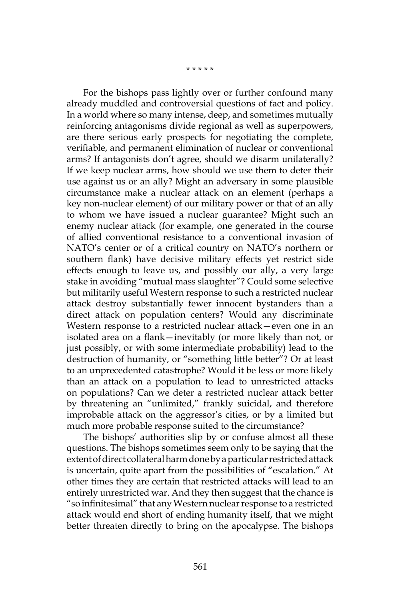\* \* \* \* \*

For the bishops pass lightly over or further confound many already muddled and controversial questions of fact and policy. In a world where so many intense, deep, and sometimes mutually reinforcing antagonisms divide regional as well as superpowers, are there serious early prospects for negotiating the complete, verifiable, and permanent elimination of nuclear or conventional arms? If antagonists don't agree, should we disarm unilaterally? If we keep nuclear arms, how should we use them to deter their use against us or an ally? Might an adversary in some plausible circumstance make a nuclear attack on an element (perhaps a key non-nuclear element) of our military power or that of an ally to whom we have issued a nuclear guarantee? Might such an enemy nuclear attack (for example, one generated in the course of allied conventional resistance to a conventional invasion of NATO's center or of a critical country on NATO's northern or southern flank) have decisive military effects yet restrict side effects enough to leave us, and possibly our ally, a very large stake in avoiding "mutual mass slaughter"? Could some selective but militarily useful Western response to such a restricted nuclear attack destroy substantially fewer innocent bystanders than a direct attack on population centers? Would any discriminate Western response to a restricted nuclear attack—even one in an isolated area on a flank—inevitably (or more likely than not, or just possibly, or with some intermediate probability) lead to the destruction of humanity, or "something little better"? Or at least to an unprecedented catastrophe? Would it be less or more likely than an attack on a population to lead to unrestricted attacks on populations? Can we deter a restricted nuclear attack better by threatening an "unlimited," frankly suicidal, and therefore improbable attack on the aggressor's cities, or by a limited but much more probable response suited to the circumstance?

The bishops' authorities slip by or confuse almost all these questions. The bishops sometimes seem only to be saying that the extent of direct collateral harm done by a particular restricted attack is uncertain, quite apart from the possibilities of "escalation." At other times they are certain that restricted attacks will lead to an entirely unrestricted war. And they then suggest that the chance is "so infinitesimal" that any Western nuclear response to a restricted attack would end short of ending humanity itself, that we might better threaten directly to bring on the apocalypse. The bishops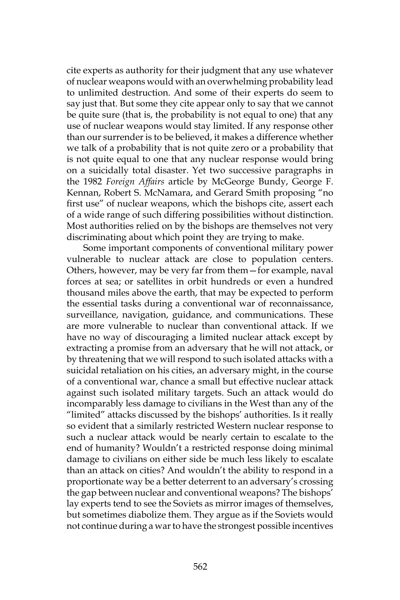cite experts as authority for their judgment that any use whatever of nuclear weapons would with an overwhelming probability lead to unlimited destruction. And some of their experts do seem to say just that. But some they cite appear only to say that we cannot be quite sure (that is, the probability is not equal to one) that any use of nuclear weapons would stay limited. If any response other than our surrender is to be believed, it makes a difference whether we talk of a probability that is not quite zero or a probability that is not quite equal to one that any nuclear response would bring on a suicidally total disaster. Yet two successive paragraphs in the 1982 *Foreign Affairs* article by McGeorge Bundy, George F. Kennan, Robert S. McNamara, and Gerard Smith proposing "no first use" of nuclear weapons, which the bishops cite, assert each of a wide range of such differing possibilities without distinction. Most authorities relied on by the bishops are themselves not very discriminating about which point they are trying to make.

Some important components of conventional military power vulnerable to nuclear attack are close to population centers. Others, however, may be very far from them—for example, naval forces at sea; or satellites in orbit hundreds or even a hundred thousand miles above the earth, that may be expected to perform the essential tasks during a conventional war of reconnaissance, surveillance, navigation, guidance, and communications. These are more vulnerable to nuclear than conventional attack. If we have no way of discouraging a limited nuclear attack except by extracting a promise from an adversary that he will not attack, or by threatening that we will respond to such isolated attacks with a suicidal retaliation on his cities, an adversary might, in the course of a conventional war, chance a small but effective nuclear attack against such isolated military targets. Such an attack would do incomparably less damage to civilians in the West than any of the "limited" attacks discussed by the bishops' authorities. Is it really so evident that a similarly restricted Western nuclear response to such a nuclear attack would be nearly certain to escalate to the end of humanity? Wouldn't a restricted response doing minimal damage to civilians on either side be much less likely to escalate than an attack on cities? And wouldn't the ability to respond in a proportionate way be a better deterrent to an adversary's crossing the gap between nuclear and conventional weapons? The bishops' lay experts tend to see the Soviets as mirror images of themselves, but sometimes diabolize them. They argue as if the Soviets would not continue during a war to have the strongest possible incentives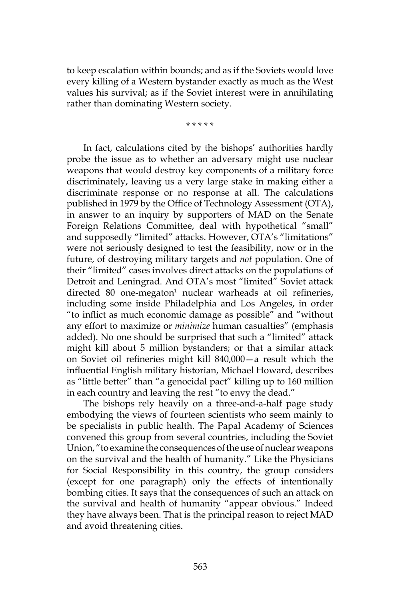to keep escalation within bounds; and as if the Soviets would love every killing of a Western bystander exactly as much as the West values his survival; as if the Soviet interest were in annihilating rather than dominating Western society.

\* \* \* \* \*

In fact, calculations cited by the bishops' authorities hardly probe the issue as to whether an adversary might use nuclear weapons that would destroy key components of a military force discriminately, leaving us a very large stake in making either a discriminate response or no response at all. The calculations published in 1979 by the Office of Technology Assessment (OTA), in answer to an inquiry by supporters of MAD on the Senate Foreign Relations Committee, deal with hypothetical "small" and supposedly "limited" attacks. However, OTA's "limitations" were not seriously designed to test the feasibility, now or in the future, of destroying military targets and *not* population. One of their "limited" cases involves direct attacks on the populations of Detroit and Leningrad. And OTA's most "limited" Soviet attack directed 80 one-megaton<sup>1</sup> nuclear warheads at oil refineries, including some inside Philadelphia and Los Angeles, in order "to inflict as much economic damage as possible" and "without any effort to maximize or *minimize* human casualties" (emphasis added). No one should be surprised that such a "limited" attack might kill about 5 million bystanders; or that a similar attack on Soviet oil refineries might kill 840,000—a result which the influential English military historian, Michael Howard, describes as "little better" than "a genocidal pact" killing up to 160 million in each country and leaving the rest "to envy the dead."

The bishops rely heavily on a three-and-a-half page study embodying the views of fourteen scientists who seem mainly to be specialists in public health. The Papal Academy of Sciences convened this group from several countries, including the Soviet Union, "to examine the consequences of the use of nuclear weapons on the survival and the health of humanity." Like the Physicians for Social Responsibility in this country, the group considers (except for one paragraph) only the effects of intentionally bombing cities. It says that the consequences of such an attack on the survival and health of humanity "appear obvious." Indeed they have always been. That is the principal reason to reject MAD and avoid threatening cities.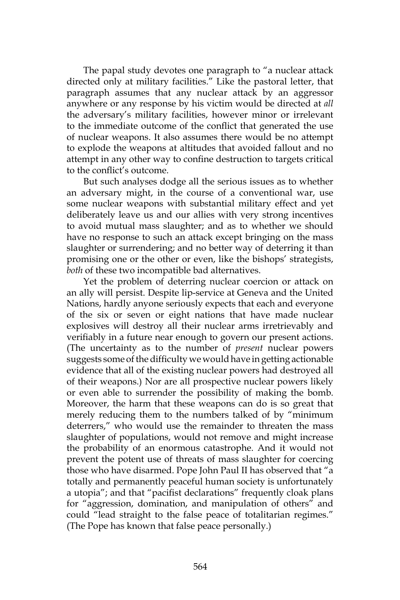The papal study devotes one paragraph to "a nuclear attack directed only at military facilities." Like the pastoral letter, that paragraph assumes that any nuclear attack by an aggressor anywhere or any response by his victim would be directed at *all*  the adversary's military facilities, however minor or irrelevant to the immediate outcome of the conflict that generated the use of nuclear weapons. It also assumes there would be no attempt to explode the weapons at altitudes that avoided fallout and no attempt in any other way to confine destruction to targets critical to the conflict's outcome.

But such analyses dodge all the serious issues as to whether an adversary might, in the course of a conventional war, use some nuclear weapons with substantial military effect and yet deliberately leave us and our allies with very strong incentives to avoid mutual mass slaughter; and as to whether we should have no response to such an attack except bringing on the mass slaughter or surrendering; and no better way of deterring it than promising one or the other or even, like the bishops' strategists, *both* of these two incompatible bad alternatives.

Yet the problem of deterring nuclear coercion or attack on an ally will persist. Despite lip-service at Geneva and the United Nations, hardly anyone seriously expects that each and everyone of the six or seven or eight nations that have made nuclear explosives will destroy all their nuclear arms irretrievably and verifiably in a future near enough to govern our present actions. (The uncertainty as to the number of *present* nuclear powers suggests some of the difficulty we would have in getting actionable evidence that all of the existing nuclear powers had destroyed all of their weapons.) Nor are all prospective nuclear powers likely or even able to surrender the possibility of making the bomb. Moreover, the harm that these weapons can do is so great that merely reducing them to the numbers talked of by "minimum deterrers," who would use the remainder to threaten the mass slaughter of populations, would not remove and might increase the probability of an enormous catastrophe. And it would not prevent the potent use of threats of mass slaughter for coercing those who have disarmed. Pope John Paul II has observed that "a totally and permanently peaceful human society is unfortunately a utopia"; and that "pacifist declarations" frequently cloak plans for "aggression, domination, and manipulation of others" and could "lead straight to the false peace of totalitarian regimes." (The Pope has known that false peace personally.)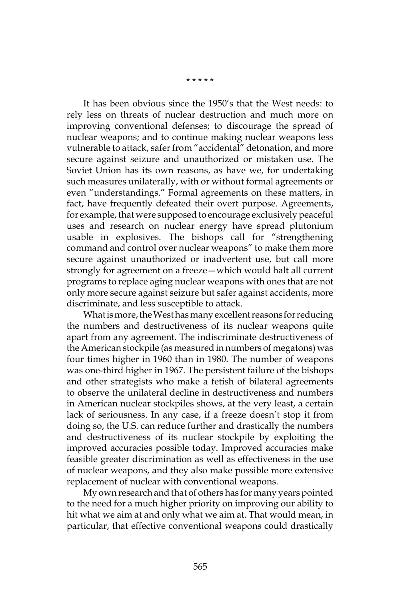It has been obvious since the 1950's that the West needs: to rely less on threats of nuclear destruction and much more on improving conventional defenses; to discourage the spread of nuclear weapons; and to continue making nuclear weapons less vulnerable to attack, safer from "accidental" detonation, and more secure against seizure and unauthorized or mistaken use. The Soviet Union has its own reasons, as have we, for undertaking such measures unilaterally, with or without formal agreements or even "understandings." Formal agreements on these matters, in fact, have frequently defeated their overt purpose. Agreements, for example, that were supposed to encourage exclusively peaceful uses and research on nuclear energy have spread plutonium usable in explosives. The bishops call for "strengthening command and control over nuclear weapons" to make them more secure against unauthorized or inadvertent use, but call more strongly for agreement on a freeze—which would halt all current programs to replace aging nuclear weapons with ones that are not only more secure against seizure but safer against accidents, more discriminate, and less susceptible to attack.

What is more, the West has many excellent reasons for reducing the numbers and destructiveness of its nuclear weapons quite apart from any agreement. The indiscriminate destructiveness of the American stockpile (as measured in numbers of megatons) was four times higher in 1960 than in 1980. The number of weapons was one-third higher in 1967. The persistent failure of the bishops and other strategists who make a fetish of bilateral agreements to observe the unilateral decline in destructiveness and numbers in American nuclear stockpiles shows, at the very least, a certain lack of seriousness. In any case, if a freeze doesn't stop it from doing so, the U.S. can reduce further and drastically the numbers and destructiveness of its nuclear stockpile by exploiting the improved accuracies possible today. Improved accuracies make feasible greater discrimination as well as effectiveness in the use of nuclear weapons, and they also make possible more extensive replacement of nuclear with conventional weapons.

My own research and that of others has for many years pointed to the need for a much higher priority on improving our ability to hit what we aim at and only what we aim at. That would mean, in particular, that effective conventional weapons could drastically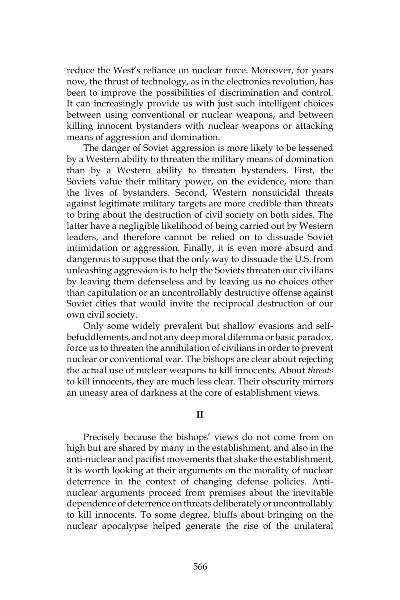reduce the West's reliance on nuclear force. Moreover, for years now, the thrust of technology, as in the electronics revolution, has been to improve the possibilities of discrimination and control. It can increasingly provide us with just such intelligent choices between using conventional or nuclear weapons, and between killing innocent bystanders with nuclear weapons or attacking means of aggression and domination.

The danger of Soviet aggression is more likely to be lessened by a Western ability to threaten the military means of domination than by a Western ability to threaten bystanders. First, the Soviets value their military power, on the evidence, more than the lives of bystanders. Second, Western nonsuicidal threats against legitimate military targets are more credible than threats to bring about the destruction of civil society on both sides. The latter have a negligible likelihood of being carried out by Western leaders, and therefore cannot be relied on to dissuade Soviet intimidation or aggression. Finally, it is even more absurd and dangerous to suppose that the only way to dissuade the U.S. from unleashing aggression is to help the Soviets threaten our civilians by leaving them defenseless and by leaving us no choices other than capitulation or an uncontrollably destructive offense against Soviet cities that would invite the reciprocal destruction of our own civil society.

Only some widely prevalent but shallow evasions and selfbefuddlements, and not any deep moral dilemma or basic paradox, force us to threaten the annihilation of civilians in order to prevent nuclear or conventional war. The bishops are clear about rejecting the actual use of nuclear weapons to kill innocents. About *threats*  to kill innocents, they are much less clear. Their obscurity mirrors an uneasy area of darkness at the core of establishment views.

### **II**

Precisely because the bishops' views do not come from on high but are shared by many in the establishment, and also in the anti-nuclear and pacifist movements that shake the establishment, it is worth looking at their arguments on the morality of nuclear deterrence in the context of changing defense policies. Antinuclear arguments proceed from premises about the inevitable dependence of deterrence on threats deliberately or uncontrollably to kill innocents. To some degree, bluffs about bringing on the nuclear apocalypse helped generate the rise of the unilateral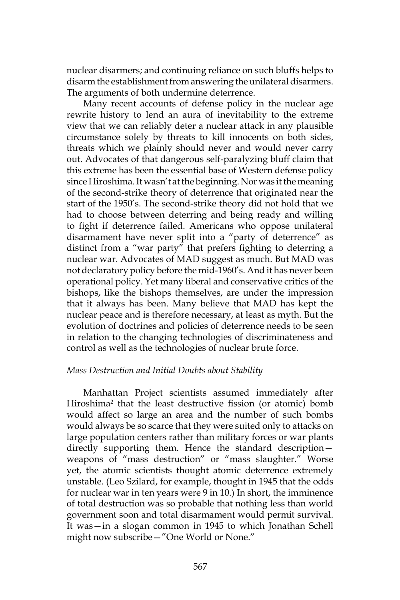nuclear disarmers; and continuing reliance on such bluffs helps to disarm the establishment from answering the unilateral disarmers. The arguments of both undermine deterrence.

Many recent accounts of defense policy in the nuclear age rewrite history to lend an aura of inevitability to the extreme view that we can reliably deter a nuclear attack in any plausible circumstance solely by threats to kill innocents on both sides, threats which we plainly should never and would never carry out. Advocates of that dangerous self-paralyzing bluff claim that this extreme has been the essential base of Western defense policy since Hiroshima. It wasn't at the beginning. Nor was it the meaning of the second-strike theory of deterrence that originated near the start of the 1950's. The second-strike theory did not hold that we had to choose between deterring and being ready and willing to fight if deterrence failed. Americans who oppose unilateral disarmament have never split into a "party of deterrence" as distinct from a "war party" that prefers fighting to deterring a nuclear war. Advocates of MAD suggest as much. But MAD was not declaratory policy before the mid-1960's. And it has never been operational policy. Yet many liberal and conservative critics of the bishops, like the bishops themselves, are under the impression that it always has been. Many believe that MAD has kept the nuclear peace and is therefore necessary, at least as myth. But the evolution of doctrines and policies of deterrence needs to be seen in relation to the changing technologies of discriminateness and control as well as the technologies of nuclear brute force.

# *Mass Destruction and Initial Doubts about Stability*

Manhattan Project scientists assumed immediately after Hiroshima2 that the least destructive fission (or atomic) bomb would affect so large an area and the number of such bombs would always be so scarce that they were suited only to attacks on large population centers rather than military forces or war plants directly supporting them. Hence the standard description weapons of "mass destruction" or "mass slaughter." Worse yet, the atomic scientists thought atomic deterrence extremely unstable. (Leo Szilard, for example, thought in 1945 that the odds for nuclear war in ten years were 9 in 10.) In short, the imminence of total destruction was so probable that nothing less than world government soon and total disarmament would permit survival. It was—in a slogan common in 1945 to which Jonathan Schell might now subscribe—"One World or None."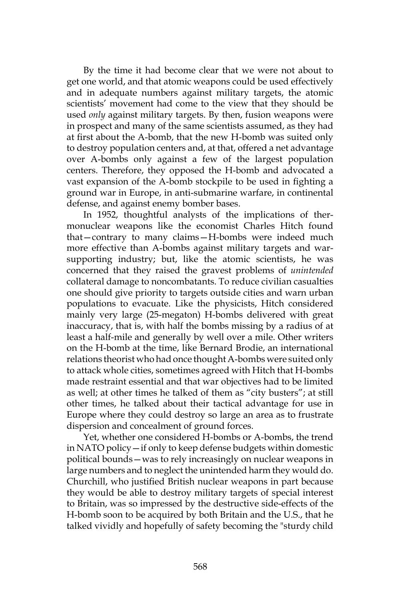By the time it had become clear that we were not about to get one world, and that atomic weapons could be used effectively and in adequate numbers against military targets, the atomic scientists' movement had come to the view that they should be used *only* against military targets. By then, fusion weapons were in prospect and many of the same scientists assumed, as they had at first about the A-bomb, that the new H-bomb was suited only to destroy population centers and, at that, offered a net advantage over A-bombs only against a few of the largest population centers. Therefore, they opposed the H-bomb and advocated a vast expansion of the A-bomb stockpile to be used in fighting a ground war in Europe, in anti-submarine warfare, in continental defense, and against enemy bomber bases.

In 1952, thoughtful analysts of the implications of thermonuclear weapons like the economist Charles Hitch found that—contrary to many claims—H-bombs were indeed much more effective than A-bombs against military targets and warsupporting industry; but, like the atomic scientists, he was concerned that they raised the gravest problems of *unintended*  collateral damage to noncombatants. To reduce civilian casualties one should give priority to targets outside cities and warn urban populations to evacuate. Like the physicists, Hitch considered mainly very large (25-megaton) H-bombs delivered with great inaccuracy, that is, with half the bombs missing by a radius of at least a half-mile and generally by well over a mile. Other writers on the H-bomb at the time, like Bernard Brodie, an international relations theorist who had once thought A-bombs were suited only to attack whole cities, sometimes agreed with Hitch that H-bombs made restraint essential and that war objectives had to be limited as well; at other times he talked of them as "city busters"; at still other times, he talked about their tactical advantage for use in Europe where they could destroy so large an area as to frustrate dispersion and concealment of ground forces.

Yet, whether one considered H-bombs or A-bombs, the trend in NATO policy—if only to keep defense budgets within domestic political bounds—was to rely increasingly on nuclear weapons in large numbers and to neglect the unintended harm they would do. Churchill, who justified British nuclear weapons in part because they would be able to destroy military targets of special interest to Britain, was so impressed by the destructive side-effects of the H-bomb soon to be acquired by both Britain and the U.S., that he talked vividly and hopefully of safety becoming the "sturdy child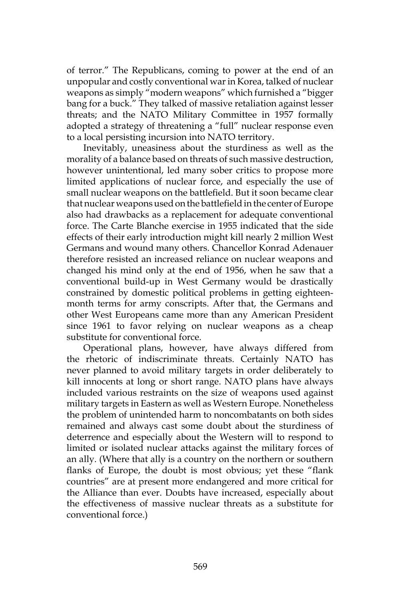of terror." The Republicans, coming to power at the end of an unpopular and costly conventional war in Korea, talked of nuclear weapons as simply "modern weapons" which furnished a "bigger bang for a buck." They talked of massive retaliation against lesser threats; and the NATO Military Committee in 1957 formally adopted a strategy of threatening a "full" nuclear response even to a local persisting incursion into NATO territory.

Inevitably, uneasiness about the sturdiness as well as the morality of a balance based on threats of such massive destruction, however unintentional, led many sober critics to propose more limited applications of nuclear force, and especially the use of small nuclear weapons on the battlefield. But it soon became clear that nuclear weapons used on the battlefield in the center of Europe also had drawbacks as a replacement for adequate conventional force. The Carte Blanche exercise in 1955 indicated that the side effects of their early introduction might kill nearly 2 million West Germans and wound many others. Chancellor Konrad Adenauer therefore resisted an increased reliance on nuclear weapons and changed his mind only at the end of 1956, when he saw that a conventional build-up in West Germany would be drastically constrained by domestic political problems in getting eighteenmonth terms for army conscripts. After that, the Germans and other West Europeans came more than any American President since 1961 to favor relying on nuclear weapons as a cheap substitute for conventional force.

Operational plans, however, have always differed from the rhetoric of indiscriminate threats. Certainly NATO has never planned to avoid military targets in order deliberately to kill innocents at long or short range. NATO plans have always included various restraints on the size of weapons used against military targets in Eastern as well as Western Europe. Nonetheless the problem of unintended harm to noncombatants on both sides remained and always cast some doubt about the sturdiness of deterrence and especially about the Western will to respond to limited or isolated nuclear attacks against the military forces of an ally. (Where that ally is a country on the northern or southern flanks of Europe, the doubt is most obvious; yet these "flank countries" are at present more endangered and more critical for the Alliance than ever. Doubts have increased, especially about the effectiveness of massive nuclear threats as a substitute for conventional force.)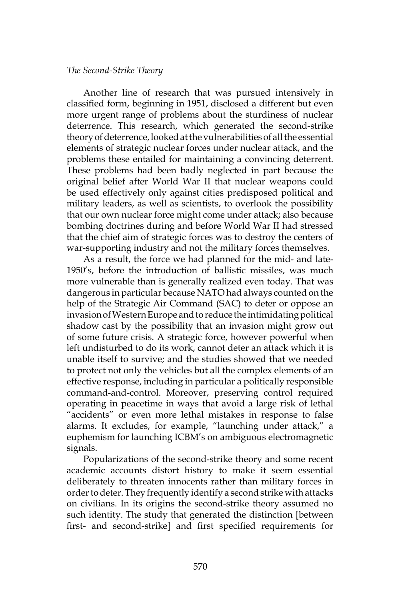## *The Second-Strike Theory*

Another line of research that was pursued intensively in classified form, beginning in 1951, disclosed a different but even more urgent range of problems about the sturdiness of nuclear deterrence. This research, which generated the second-strike theory of deterrence, looked at the vulnerabilities of all the essential elements of strategic nuclear forces under nuclear attack, and the problems these entailed for maintaining a convincing deterrent. These problems had been badly neglected in part because the original belief after World War II that nuclear weapons could be used effectively only against cities predisposed political and military leaders, as well as scientists, to overlook the possibility that our own nuclear force might come under attack; also because bombing doctrines during and before World War II had stressed that the chief aim of strategic forces was to destroy the centers of war-supporting industry and not the military forces themselves.

As a result, the force we had planned for the mid- and late-1950's, before the introduction of ballistic missiles, was much more vulnerable than is generally realized even today. That was dangerous in particular because NATO had always counted on the help of the Strategic Air Command (SAC) to deter or oppose an invasion of Western Europe and to reduce the intimidating political shadow cast by the possibility that an invasion might grow out of some future crisis. A strategic force, however powerful when left undisturbed to do its work, cannot deter an attack which it is unable itself to survive; and the studies showed that we needed to protect not only the vehicles but all the complex elements of an effective response, including in particular a politically responsible command-and-control. Moreover, preserving control required operating in peacetime in ways that avoid a large risk of lethal "accidents" or even more lethal mistakes in response to false alarms. It excludes, for example, "launching under attack," a euphemism for launching ICBM's on ambiguous electromagnetic signals.

Popularizations of the second-strike theory and some recent academic accounts distort history to make it seem essential deliberately to threaten innocents rather than military forces in order to deter. They frequently identify a second strike with attacks on civilians. In its origins the second-strike theory assumed no such identity. The study that generated the distinction [between first- and second-strike] and first specified requirements for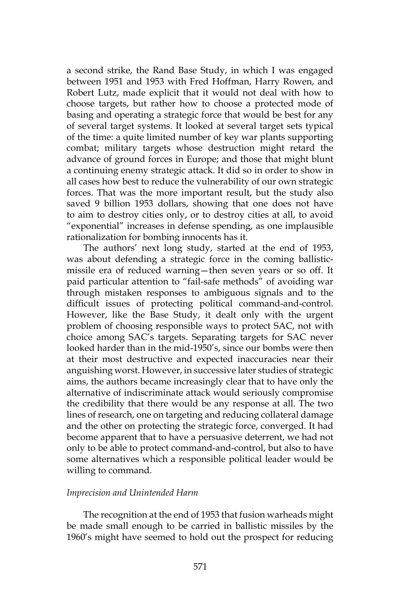a second strike, the Rand Base Study, in which I was engaged between 1951 and 1953 with Fred Hoffman, Harry Rowen, and Robert Lutz, made explicit that it would not deal with how to choose targets, but rather how to choose a protected mode of basing and operating a strategic force that would be best for any of several target systems. It looked at several target sets typical of the time: a quite limited number of key war plants supporting combat; military targets whose destruction might retard the advance of ground forces in Europe; and those that might blunt a continuing enemy strategic attack. It did so in order to show in all cases how best to reduce the vulnerability of our own strategic forces. That was the more important result, but the study also saved 9 billion 1953 dollars, showing that one does not have to aim to destroy cities only, or to destroy cities at all, to avoid "exponential" increases in defense spending, as one implausible rationalization for bombing innocents has it.

The authors' next long study, started at the end of 1953, was about defending a strategic force in the coming ballisticmissile era of reduced warning—then seven years or so off. It paid particular attention to "fail-safe methods" of avoiding war through mistaken responses to ambiguous signals and to the difficult issues of protecting political command-and-control. However, like the Base Study, it dealt only with the urgent problem of choosing responsible ways to protect SAC, not with choice among SAC's targets. Separating targets for SAC never looked harder than in the mid-1950's, since our bombs were then at their most destructive and expected inaccuracies near their anguishing worst. However, in successive later studies of strategic aims, the authors became increasingly clear that to have only the alternative of indiscriminate attack would seriously compromise the credibility that there would be any response at all. The two lines of research, one on targeting and reducing collateral damage and the other on protecting the strategic force, converged. It had become apparent that to have a persuasive deterrent, we had not only to be able to protect command-and-control, but also to have some alternatives which a responsible political leader would be willing to command.

## *Imprecision and Unintended Harm*

The recognition at the end of 1953 that fusion warheads might be made small enough to be carried in ballistic missiles by the 1960's might have seemed to hold out the prospect for reducing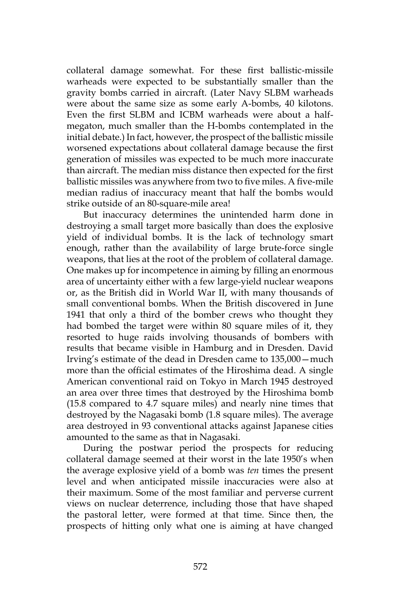collateral damage somewhat. For these first ballistic-missile warheads were expected to be substantially smaller than the gravity bombs carried in aircraft. (Later Navy SLBM warheads were about the same size as some early A-bombs, 40 kilotons. Even the first SLBM and ICBM warheads were about a halfmegaton, much smaller than the H-bombs contemplated in the initial debate.) In fact, however, the prospect of the ballistic missile worsened expectations about collateral damage because the first generation of missiles was expected to be much more inaccurate than aircraft. The median miss distance then expected for the first ballistic missiles was anywhere from two to five miles. A five-mile median radius of inaccuracy meant that half the bombs would strike outside of an 80-square-mile area!

But inaccuracy determines the unintended harm done in destroying a small target more basically than does the explosive yield of individual bombs. It is the lack of technology smart enough, rather than the availability of large brute-force single weapons, that lies at the root of the problem of collateral damage. One makes up for incompetence in aiming by filling an enormous area of uncertainty either with a few large-yield nuclear weapons or, as the British did in World War II, with many thousands of small conventional bombs. When the British discovered in June 1941 that only a third of the bomber crews who thought they had bombed the target were within 80 square miles of it, they resorted to huge raids involving thousands of bombers with results that became visible in Hamburg and in Dresden. David Irving's estimate of the dead in Dresden came to 135,000—much more than the official estimates of the Hiroshima dead. A single American conventional raid on Tokyo in March 1945 destroyed an area over three times that destroyed by the Hiroshima bomb (15.8 compared to 4.7 square miles) and nearly nine times that destroyed by the Nagasaki bomb (1.8 square miles). The average area destroyed in 93 conventional attacks against Japanese cities amounted to the same as that in Nagasaki.

During the postwar period the prospects for reducing collateral damage seemed at their worst in the late 1950's when the average explosive yield of a bomb was *ten* times the present level and when anticipated missile inaccuracies were also at their maximum. Some of the most familiar and perverse current views on nuclear deterrence, including those that have shaped the pastoral letter, were formed at that time. Since then, the prospects of hitting only what one is aiming at have changed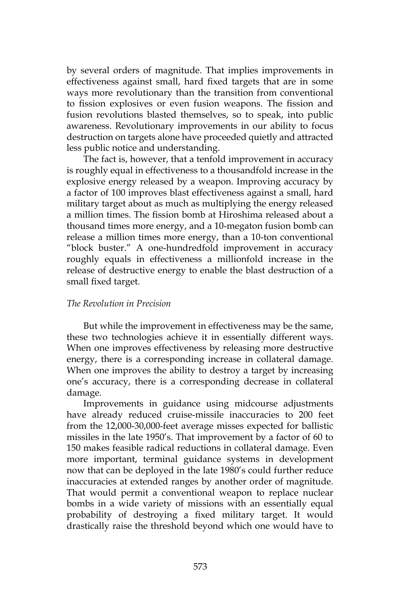by several orders of magnitude. That implies improvements in effectiveness against small, hard fixed targets that are in some ways more revolutionary than the transition from conventional to fission explosives or even fusion weapons. The fission and fusion revolutions blasted themselves, so to speak, into public awareness. Revolutionary improvements in our ability to focus destruction on targets alone have proceeded quietly and attracted less public notice and understanding.

The fact is, however, that a tenfold improvement in accuracy is roughly equal in effectiveness to a thousandfold increase in the explosive energy released by a weapon. Improving accuracy by a factor of 100 improves blast effectiveness against a small, hard military target about as much as multiplying the energy released a million times. The fission bomb at Hiroshima released about a thousand times more energy, and a 10-megaton fusion bomb can release a million times more energy, than a 10-ton conventional "block buster." A one-hundredfold improvement in accuracy roughly equals in effectiveness a millionfold increase in the release of destructive energy to enable the blast destruction of a small fixed target.

## *The Revolution in Precision*

But while the improvement in effectiveness may be the same, these two technologies achieve it in essentially different ways. When one improves effectiveness by releasing more destructive energy, there is a corresponding increase in collateral damage. When one improves the ability to destroy a target by increasing one's accuracy, there is a corresponding decrease in collateral damage.

Improvements in guidance using midcourse adjustments have already reduced cruise-missile inaccuracies to 200 feet from the 12,000-30,000-feet average misses expected for ballistic missiles in the late 1950's. That improvement by a factor of 60 to 150 makes feasible radical reductions in collateral damage. Even more important, terminal guidance systems in development now that can be deployed in the late 1980's could further reduce inaccuracies at extended ranges by another order of magnitude. That would permit a conventional weapon to replace nuclear bombs in a wide variety of missions with an essentially equal probability of destroying a fixed military target. It would drastically raise the threshold beyond which one would have to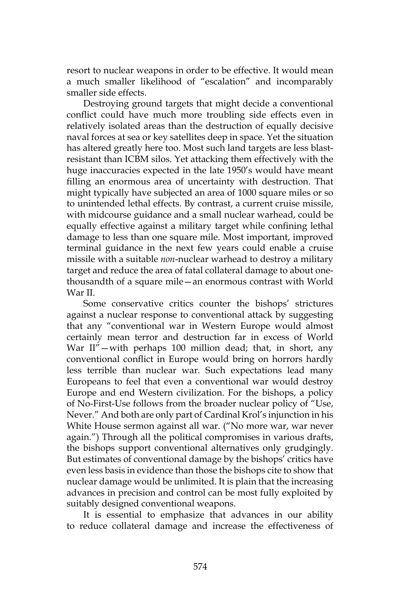resort to nuclear weapons in order to be effective. It would mean a much smaller likelihood of "escalation" and incomparably smaller side effects.

Destroying ground targets that might decide a conventional conflict could have much more troubling side effects even in relatively isolated areas than the destruction of equally decisive naval forces at sea or key satellites deep in space. Yet the situation has altered greatly here too. Most such land targets are less blastresistant than ICBM silos. Yet attacking them effectively with the huge inaccuracies expected in the late 1950's would have meant filling an enormous area of uncertainty with destruction. That might typically have subjected an area of 1000 square miles or so to unintended lethal effects. By contrast, a current cruise missile, with midcourse guidance and a small nuclear warhead, could be equally effective against a military target while confining lethal damage to less than one square mile. Most important, improved terminal guidance in the next few years could enable a cruise missile with a suitable *non*-nuclear warhead to destroy a military target and reduce the area of fatal collateral damage to about onethousandth of a square mile—an enormous contrast with World War II.

Some conservative critics counter the bishops' strictures against a nuclear response to conventional attack by suggesting that any "conventional war in Western Europe would almost certainly mean terror and destruction far in excess of World War II"—with perhaps 100 million dead; that, in short, any conventional conflict in Europe would bring on horrors hardly less terrible than nuclear war. Such expectations lead many Europeans to feel that even a conventional war would destroy Europe and end Western civilization. For the bishops, a policy of No-First-Use follows from the broader nuclear policy of "Use, Never." And both are only part of Cardinal Krol's injunction in his White House sermon against all war. ("No more war, war never again.") Through all the political compromises in various drafts, the bishops support conventional alternatives only grudgingly. But estimates of conventional damage by the bishops' critics have even less basis in evidence than those the bishops cite to show that nuclear damage would be unlimited. It is plain that the increasing advances in precision and control can be most fully exploited by suitably designed conventional weapons.

It is essential to emphasize that advances in our ability to reduce collateral damage and increase the effectiveness of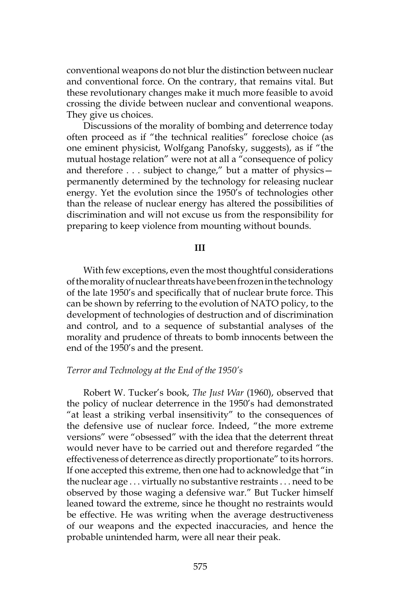conventional weapons do not blur the distinction between nuclear and conventional force. On the contrary, that remains vital. But these revolutionary changes make it much more feasible to avoid crossing the divide between nuclear and conventional weapons. They give us choices.

Discussions of the morality of bombing and deterrence today often proceed as if "the technical realities" foreclose choice (as one eminent physicist, Wolfgang Panofsky, suggests), as if "the mutual hostage relation" were not at all a "consequence of policy and therefore . . . subject to change," but a matter of physics permanently determined by the technology for releasing nuclear energy. Yet the evolution since the 1950's of technologies other than the release of nuclear energy has altered the possibilities of discrimination and will not excuse us from the responsibility for preparing to keep violence from mounting without bounds.

## **III**

With few exceptions, even the most thoughtful considerations of the morality of nuclear threats have been frozen in the technology of the late 1950's and specifically that of nuclear brute force. This can be shown by referring to the evolution of NATO policy, to the development of technologies of destruction and of discrimination and control, and to a sequence of substantial analyses of the morality and prudence of threats to bomb innocents between the end of the 1950's and the present.

## *Terror and Technology at the End of the 1950's*

Robert W. Tucker's book, *The Just War* (1960), observed that the policy of nuclear deterrence in the 1950's had demonstrated "at least a striking verbal insensitivity" to the consequences of the defensive use of nuclear force. Indeed, "the more extreme versions" were "obsessed" with the idea that the deterrent threat would never have to be carried out and therefore regarded "the effectiveness of deterrence as directly proportionate" to its horrors. If one accepted this extreme, then one had to acknowledge that "in the nuclear age . . . virtually no substantive restraints . . . need to be observed by those waging a defensive war." But Tucker himself leaned toward the extreme, since he thought no restraints would be effective. He was writing when the average destructiveness of our weapons and the expected inaccuracies, and hence the probable unintended harm, were all near their peak.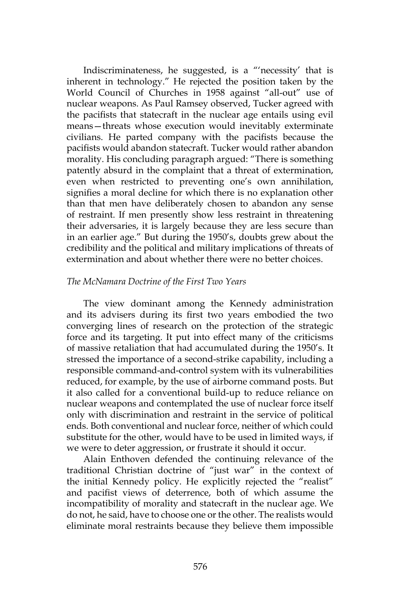Indiscriminateness, he suggested, is a "'necessity' that is inherent in technology." He rejected the position taken by the World Council of Churches in 1958 against "all-out" use of nuclear weapons. As Paul Ramsey observed, Tucker agreed with the pacifists that statecraft in the nuclear age entails using evil means—threats whose execution would inevitably exterminate civilians. He parted company with the pacifists because the pacifists would abandon statecraft. Tucker would rather abandon morality. His concluding paragraph argued: "There is something patently absurd in the complaint that a threat of extermination, even when restricted to preventing one's own annihilation, signifies a moral decline for which there is no explanation other than that men have deliberately chosen to abandon any sense of restraint. If men presently show less restraint in threatening their adversaries, it is largely because they are less secure than in an earlier age." But during the 1950's, doubts grew about the credibility and the political and military implications of threats of extermination and about whether there were no better choices.

## *The McNamara Doctrine of the First Two Years*

The view dominant among the Kennedy administration and its advisers during its first two years embodied the two converging lines of research on the protection of the strategic force and its targeting. It put into effect many of the criticisms of massive retaliation that had accumulated during the 1950's. It stressed the importance of a second-strike capability, including a responsible command-and-control system with its vulnerabilities reduced, for example, by the use of airborne command posts. But it also called for a conventional build-up to reduce reliance on nuclear weapons and contemplated the use of nuclear force itself only with discrimination and restraint in the service of political ends. Both conventional and nuclear force, neither of which could substitute for the other, would have to be used in limited ways, if we were to deter aggression, or frustrate it should it occur.

Alain Enthoven defended the continuing relevance of the traditional Christian doctrine of "just war" in the context of the initial Kennedy policy. He explicitly rejected the "realist" and pacifist views of deterrence, both of which assume the incompatibility of morality and statecraft in the nuclear age. We do not, he said, have to choose one or the other. The realists would eliminate moral restraints because they believe them impossible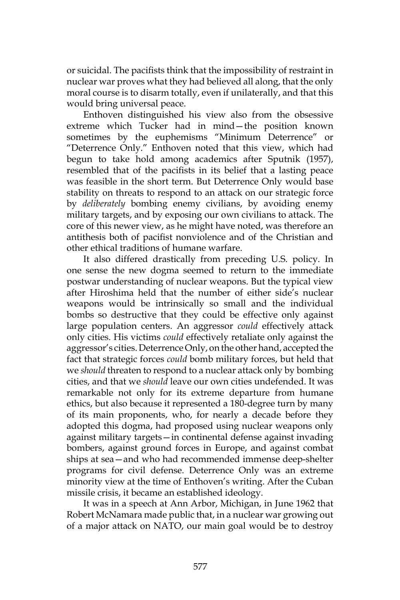or suicidal. The pacifists think that the impossibility of restraint in nuclear war proves what they had believed all along, that the only moral course is to disarm totally, even if unilaterally, and that this would bring universal peace.

Enthoven distinguished his view also from the obsessive extreme which Tucker had in mind—the position known sometimes by the euphemisms "Minimum Deterrence" or "Deterrence Only." Enthoven noted that this view, which had begun to take hold among academics after Sputnik (1957), resembled that of the pacifists in its belief that a lasting peace was feasible in the short term. But Deterrence Only would base stability on threats to respond to an attack on our strategic force by *deliberately* bombing enemy civilians, by avoiding enemy military targets, and by exposing our own civilians to attack. The core of this newer view, as he might have noted, was therefore an antithesis both of pacifist nonviolence and of the Christian and other ethical traditions of humane warfare.

It also differed drastically from preceding U.S. policy. In one sense the new dogma seemed to return to the immediate postwar understanding of nuclear weapons. But the typical view after Hiroshima held that the number of either side's nuclear weapons would be intrinsically so small and the individual bombs so destructive that they could be effective only against large population centers. An aggressor *could* effectively attack only cities. His victims *could* effectively retaliate only against the aggressor's cities. Deterrence Only, on the other hand, accepted the fact that strategic forces *could* bomb military forces, but held that we *should* threaten to respond to a nuclear attack only by bombing cities, and that we *should* leave our own cities undefended. It was remarkable not only for its extreme departure from humane ethics, but also because it represented a 180-degree turn by many of its main proponents, who, for nearly a decade before they adopted this dogma, had proposed using nuclear weapons only against military targets—in continental defense against invading bombers, against ground forces in Europe, and against combat ships at sea—and who had recommended immense deep-shelter programs for civil defense. Deterrence Only was an extreme minority view at the time of Enthoven's writing. After the Cuban missile crisis, it became an established ideology.

It was in a speech at Ann Arbor, Michigan, in June 1962 that Robert McNamara made public that, in a nuclear war growing out of a major attack on NATO, our main goal would be to destroy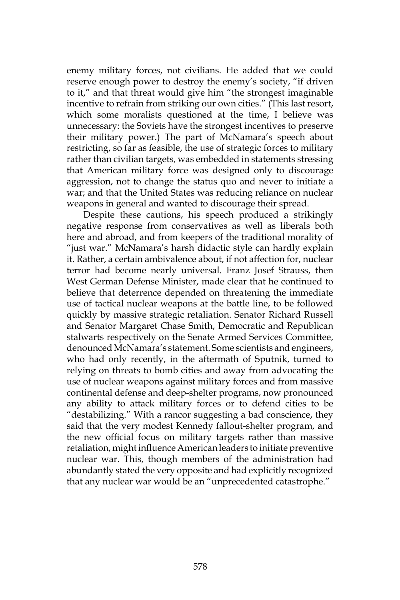enemy military forces, not civilians. He added that we could reserve enough power to destroy the enemy's society, "if driven to it," and that threat would give him "the strongest imaginable incentive to refrain from striking our own cities." (This last resort, which some moralists questioned at the time, I believe was unnecessary: the Soviets have the strongest incentives to preserve their military power.) The part of McNamara's speech about restricting, so far as feasible, the use of strategic forces to military rather than civilian targets, was embedded in statements stressing that American military force was designed only to discourage aggression, not to change the status quo and never to initiate a war; and that the United States was reducing reliance on nuclear weapons in general and wanted to discourage their spread.

Despite these cautions, his speech produced a strikingly negative response from conservatives as well as liberals both here and abroad, and from keepers of the traditional morality of "just war." McNamara's harsh didactic style can hardly explain it. Rather, a certain ambivalence about, if not affection for, nuclear terror had become nearly universal. Franz Josef Strauss, then West German Defense Minister, made clear that he continued to believe that deterrence depended on threatening the immediate use of tactical nuclear weapons at the battle line, to be followed quickly by massive strategic retaliation. Senator Richard Russell and Senator Margaret Chase Smith, Democratic and Republican stalwarts respectively on the Senate Armed Services Committee, denounced McNamara's statement. Some scientists and engineers, who had only recently, in the aftermath of Sputnik, turned to relying on threats to bomb cities and away from advocating the use of nuclear weapons against military forces and from massive continental defense and deep-shelter programs, now pronounced any ability to attack military forces or to defend cities to be "destabilizing." With a rancor suggesting a bad conscience, they said that the very modest Kennedy fallout-shelter program, and the new official focus on military targets rather than massive retaliation, might influence American leaders to initiate preventive nuclear war. This, though members of the administration had abundantly stated the very opposite and had explicitly recognized that any nuclear war would be an "unprecedented catastrophe."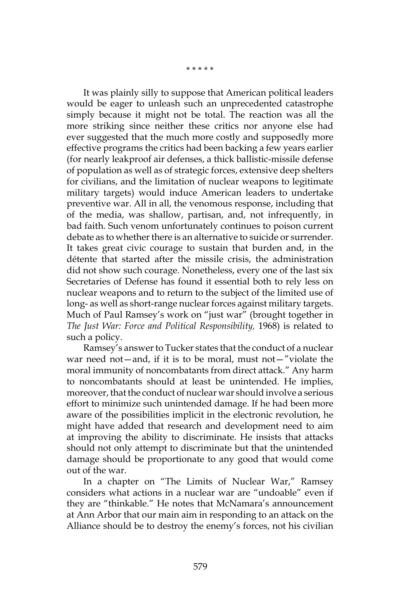#### \* \* \* \* \*

It was plainly silly to suppose that American political leaders would be eager to unleash such an unprecedented catastrophe simply because it might not be total. The reaction was all the more striking since neither these critics nor anyone else had ever suggested that the much more costly and supposedly more effective programs the critics had been backing a few years earlier (for nearly leakproof air defenses, a thick ballistic-missile defense of population as well as of strategic forces, extensive deep shelters for civilians, and the limitation of nuclear weapons to legitimate military targets) would induce American leaders to undertake preventive war. All in all, the venomous response, including that of the media, was shallow, partisan, and, not infrequently, in bad faith. Such venom unfortunately continues to poison current debate as to whether there is an alternative to suicide or surrender. It takes great civic courage to sustain that burden and, in the détente that started after the missile crisis, the administration did not show such courage. Nonetheless, every one of the last six Secretaries of Defense has found it essential both to rely less on nuclear weapons and to return to the subject of the limited use of long- as well as short-range nuclear forces against military targets. Much of Paul Ramsey's work on "just war" (brought together in *The Just War: Force and Political Responsibility,* 1968) is related to such a policy.

Ramsey's answer to Tucker states that the conduct of a nuclear war need not—and, if it is to be moral, must not—"violate the moral immunity of noncombatants from direct attack." Any harm to noncombatants should at least be unintended. He implies, moreover, that the conduct of nuclear war should involve a serious effort to minimize such unintended damage. If he had been more aware of the possibilities implicit in the electronic revolution, he might have added that research and development need to aim at improving the ability to discriminate. He insists that attacks should not only attempt to discriminate but that the unintended damage should be proportionate to any good that would come out of the war.

In a chapter on "The Limits of Nuclear War," Ramsey considers what actions in a nuclear war are "undoable" even if they are "thinkable." He notes that McNamara's announcement at Ann Arbor that our main aim in responding to an attack on the Alliance should be to destroy the enemy's forces, not his civilian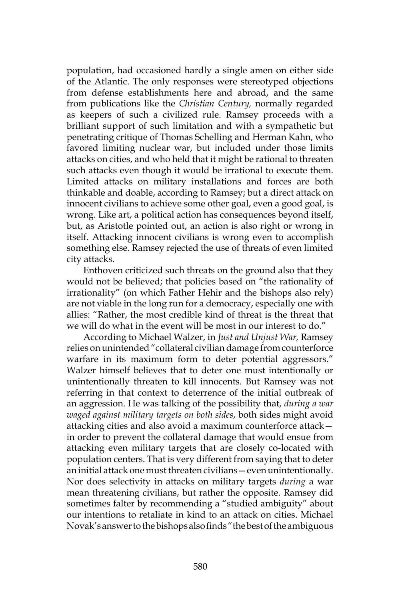population, had occasioned hardly a single amen on either side of the Atlantic. The only responses were stereotyped objections from defense establishments here and abroad, and the same from publications like the *Christian Century,* normally regarded as keepers of such a civilized rule. Ramsey proceeds with a brilliant support of such limitation and with a sympathetic but penetrating critique of Thomas Schelling and Herman Kahn, who favored limiting nuclear war, but included under those limits attacks on cities, and who held that it might be rational to threaten such attacks even though it would be irrational to execute them. Limited attacks on military installations and forces are both thinkable and doable, according to Ramsey; but a direct attack on innocent civilians to achieve some other goal, even a good goal, is wrong. Like art, a political action has consequences beyond itself, but, as Aristotle pointed out, an action is also right or wrong in itself. Attacking innocent civilians is wrong even to accomplish something else. Ramsey rejected the use of threats of even limited city attacks.

Enthoven criticized such threats on the ground also that they would not be believed; that policies based on "the rationality of irrationality" (on which Father Hehir and the bishops also rely) are not viable in the long run for a democracy, especially one with allies: "Rather, the most credible kind of threat is the threat that we will do what in the event will be most in our interest to do."

According to Michael Walzer, in *Just and Unjust War,* Ramsey relies on unintended "collateral civilian damage from counterforce warfare in its maximum form to deter potential aggressors." Walzer himself believes that to deter one must intentionally or unintentionally threaten to kill innocents. But Ramsey was not referring in that context to deterrence of the initial outbreak of an aggression. He was talking of the possibility that, *during a war waged against military targets on both sides*, both sides might avoid attacking cities and also avoid a maximum counterforce attack in order to prevent the collateral damage that would ensue from attacking even military targets that are closely co-located with population centers. That is very different from saying that to deter an initial attack one must threaten civilians—even unintentionally. Nor does selectivity in attacks on military targets *during* a war mean threatening civilians, but rather the opposite. Ramsey did sometimes falter by recommending a "studied ambiguity" about our intentions to retaliate in kind to an attack on cities. Michael Novak's answer to the bishops also finds "the best of the ambiguous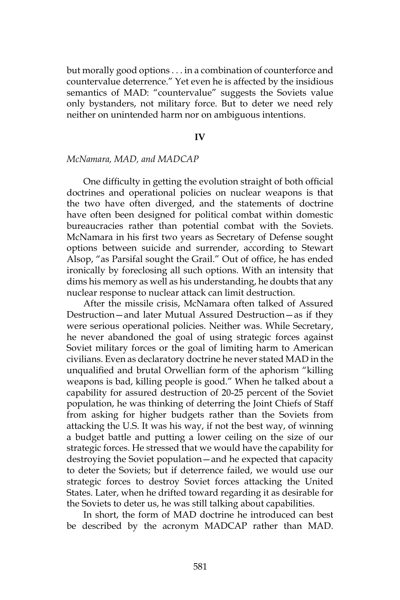but morally good options . . . in a combination of counterforce and countervalue deterrence." Yet even he is affected by the insidious semantics of MAD: "countervalue" suggests the Soviets value only bystanders, not military force. But to deter we need rely neither on unintended harm nor on ambiguous intentions.

### **IV**

## *McNamara, MAD, and MADCAP*

One difficulty in getting the evolution straight of both official doctrines and operational policies on nuclear weapons is that the two have often diverged, and the statements of doctrine have often been designed for political combat within domestic bureaucracies rather than potential combat with the Soviets. McNamara in his first two years as Secretary of Defense sought options between suicide and surrender, according to Stewart Alsop, "as Parsifal sought the Grail." Out of office, he has ended ironically by foreclosing all such options. With an intensity that dims his memory as well as his understanding, he doubts that any nuclear response to nuclear attack can limit destruction.

After the missile crisis, McNamara often talked of Assured Destruction—and later Mutual Assured Destruction—as if they were serious operational policies. Neither was. While Secretary, he never abandoned the goal of using strategic forces against Soviet military forces or the goal of limiting harm to American civilians. Even as declaratory doctrine he never stated MAD in the unqualified and brutal Orwellian form of the aphorism "killing weapons is bad, killing people is good." When he talked about a capability for assured destruction of 20-25 percent of the Soviet population, he was thinking of deterring the Joint Chiefs of Staff from asking for higher budgets rather than the Soviets from attacking the U.S. It was his way, if not the best way, of winning a budget battle and putting a lower ceiling on the size of our strategic forces. He stressed that we would have the capability for destroying the Soviet population—and he expected that capacity to deter the Soviets; but if deterrence failed, we would use our strategic forces to destroy Soviet forces attacking the United States. Later, when he drifted toward regarding it as desirable for the Soviets to deter us, he was still talking about capabilities.

In short, the form of MAD doctrine he introduced can best be described by the acronym MADCAP rather than MAD.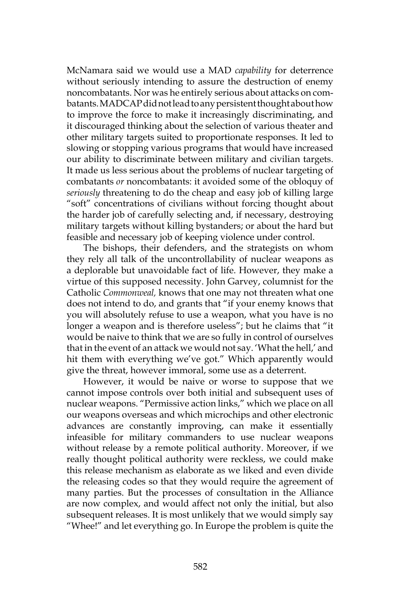McNamara said we would use a MAD *capability* for deterrence without seriously intending to assure the destruction of enemy noncombatants. Nor was he entirely serious about attacks on combatants. MADCAP did not lead to any persistent thought about how to improve the force to make it increasingly discriminating, and it discouraged thinking about the selection of various theater and other military targets suited to proportionate responses. It led to slowing or stopping various programs that would have increased our ability to discriminate between military and civilian targets. It made us less serious about the problems of nuclear targeting of combatants *or* noncombatants: it avoided some of the obloquy of *seriously* threatening to do the cheap and easy job of killing large "soft" concentrations of civilians without forcing thought about the harder job of carefully selecting and, if necessary, destroying military targets without killing bystanders; or about the hard but feasible and necessary job of keeping violence under control.

The bishops, their defenders, and the strategists on whom they rely all talk of the uncontrollability of nuclear weapons as a deplorable but unavoidable fact of life. However, they make a virtue of this supposed necessity. John Garvey, columnist for the Catholic *Commonweal,* knows that one may not threaten what one does not intend to do, and grants that "if your enemy knows that you will absolutely refuse to use a weapon, what you have is no longer a weapon and is therefore useless"; but he claims that "it would be naive to think that we are so fully in control of ourselves that in the event of an attack we would not say. 'What the hell,' and hit them with everything we've got." Which apparently would give the threat, however immoral, some use as a deterrent.

However, it would be naive or worse to suppose that we cannot impose controls over both initial and subsequent uses of nuclear weapons. "Permissive action links," which we place on all our weapons overseas and which microchips and other electronic advances are constantly improving, can make it essentially infeasible for military commanders to use nuclear weapons without release by a remote political authority. Moreover, if we really thought political authority were reckless, we could make this release mechanism as elaborate as we liked and even divide the releasing codes so that they would require the agreement of many parties. But the processes of consultation in the Alliance are now complex, and would affect not only the initial, but also subsequent releases. It is most unlikely that we would simply say "Whee!" and let everything go. In Europe the problem is quite the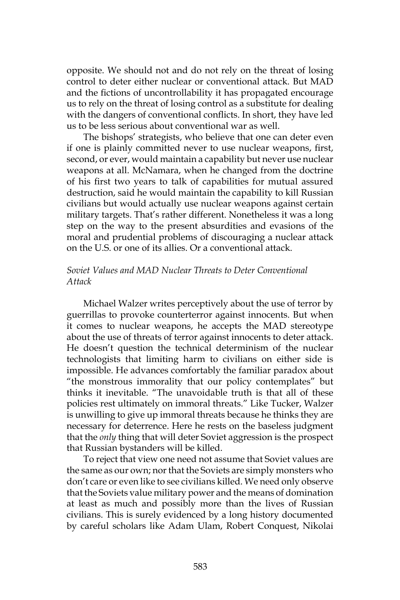opposite. We should not and do not rely on the threat of losing control to deter either nuclear or conventional attack. But MAD and the fictions of uncontrollability it has propagated encourage us to rely on the threat of losing control as a substitute for dealing with the dangers of conventional conflicts. In short, they have led us to be less serious about conventional war as well.

The bishops' strategists, who believe that one can deter even if one is plainly committed never to use nuclear weapons, first, second, or ever, would maintain a capability but never use nuclear weapons at all. McNamara, when he changed from the doctrine of his first two years to talk of capabilities for mutual assured destruction, said he would maintain the capability to kill Russian civilians but would actually use nuclear weapons against certain military targets. That's rather different. Nonetheless it was a long step on the way to the present absurdities and evasions of the moral and prudential problems of discouraging a nuclear attack on the U.S. or one of its allies. Or a conventional attack.

# *Soviet Values and MAD Nuclear Threats to Deter Conventional Attack*

Michael Walzer writes perceptively about the use of terror by guerrillas to provoke counterterror against innocents. But when it comes to nuclear weapons, he accepts the MAD stereotype about the use of threats of terror against innocents to deter attack. He doesn't question the technical determinism of the nuclear technologists that limiting harm to civilians on either side is impossible. He advances comfortably the familiar paradox about "the monstrous immorality that our policy contemplates" but thinks it inevitable. "The unavoidable truth is that all of these policies rest ultimately on immoral threats." Like Tucker, Walzer is unwilling to give up immoral threats because he thinks they are necessary for deterrence. Here he rests on the baseless judgment that the *only* thing that will deter Soviet aggression is the prospect that Russian bystanders will be killed.

To reject that view one need not assume that Soviet values are the same as our own; nor that the Soviets are simply monsters who don't care or even like to see civilians killed. We need only observe that the Soviets value military power and the means of domination at least as much and possibly more than the lives of Russian civilians. This is surely evidenced by a long history documented by careful scholars like Adam Ulam, Robert Conquest, Nikolai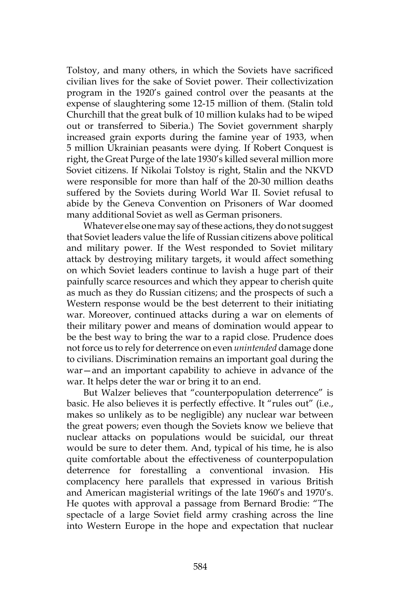Tolstoy, and many others, in which the Soviets have sacrificed civilian lives for the sake of Soviet power. Their collectivization program in the 1920's gained control over the peasants at the expense of slaughtering some 12-15 million of them. (Stalin told Churchill that the great bulk of 10 million kulaks had to be wiped out or transferred to Siberia.) The Soviet government sharply increased grain exports during the famine year of 1933, when 5 million Ukrainian peasants were dying. If Robert Conquest is right, the Great Purge of the late 1930's killed several million more Soviet citizens. If Nikolai Tolstoy is right, Stalin and the NKVD were responsible for more than half of the 20-30 million deaths suffered by the Soviets during World War II. Soviet refusal to abide by the Geneva Convention on Prisoners of War doomed many additional Soviet as well as German prisoners.

Whatever else one may say of these actions, they do not suggest that Soviet leaders value the life of Russian citizens above political and military power. If the West responded to Soviet military attack by destroying military targets, it would affect something on which Soviet leaders continue to lavish a huge part of their painfully scarce resources and which they appear to cherish quite as much as they do Russian citizens; and the prospects of such a Western response would be the best deterrent to their initiating war. Moreover, continued attacks during a war on elements of their military power and means of domination would appear to be the best way to bring the war to a rapid close. Prudence does not force us to rely for deterrence on even *unintended* damage done to civilians. Discrimination remains an important goal during the war—and an important capability to achieve in advance of the war. It helps deter the war or bring it to an end.

But Walzer believes that "counterpopulation deterrence" is basic. He also believes it is perfectly effective. It "rules out" (i.e., makes so unlikely as to be negligible) any nuclear war between the great powers; even though the Soviets know we believe that nuclear attacks on populations would be suicidal, our threat would be sure to deter them. And, typical of his time, he is also quite comfortable about the effectiveness of counterpopulation deterrence for forestalling a conventional invasion. His complacency here parallels that expressed in various British and American magisterial writings of the late 1960's and 1970's. He quotes with approval a passage from Bernard Brodie: "The spectacle of a large Soviet field army crashing across the line into Western Europe in the hope and expectation that nuclear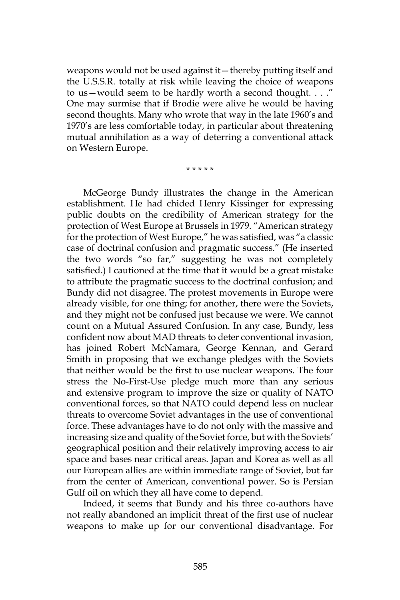weapons would not be used against it—thereby putting itself and the U.S.S.R. totally at risk while leaving the choice of weapons to us—would seem to be hardly worth a second thought. . . ." One may surmise that if Brodie were alive he would be having second thoughts. Many who wrote that way in the late 1960's and 1970's are less comfortable today, in particular about threatening mutual annihilation as a way of deterring a conventional attack on Western Europe.

\* \* \* \* \*

McGeorge Bundy illustrates the change in the American establishment. He had chided Henry Kissinger for expressing public doubts on the credibility of American strategy for the protection of West Europe at Brussels in 1979. "American strategy for the protection of West Europe," he was satisfied, was "a classic case of doctrinal confusion and pragmatic success." (He inserted the two words "so far," suggesting he was not completely satisfied.) I cautioned at the time that it would be a great mistake to attribute the pragmatic success to the doctrinal confusion; and Bundy did not disagree. The protest movements in Europe were already visible, for one thing; for another, there were the Soviets, and they might not be confused just because we were. We cannot count on a Mutual Assured Confusion. In any case, Bundy, less confident now about MAD threats to deter conventional invasion, has joined Robert McNamara, George Kennan, and Gerard Smith in proposing that we exchange pledges with the Soviets that neither would be the first to use nuclear weapons. The four stress the No-First-Use pledge much more than any serious and extensive program to improve the size or quality of NATO conventional forces, so that NATO could depend less on nuclear threats to overcome Soviet advantages in the use of conventional force. These advantages have to do not only with the massive and increasing size and quality of the Soviet force, but with the Soviets' geographical position and their relatively improving access to air space and bases near critical areas. Japan and Korea as well as all our European allies are within immediate range of Soviet, but far from the center of American, conventional power. So is Persian Gulf oil on which they all have come to depend.

Indeed, it seems that Bundy and his three co-authors have not really abandoned an implicit threat of the first use of nuclear weapons to make up for our conventional disadvantage. For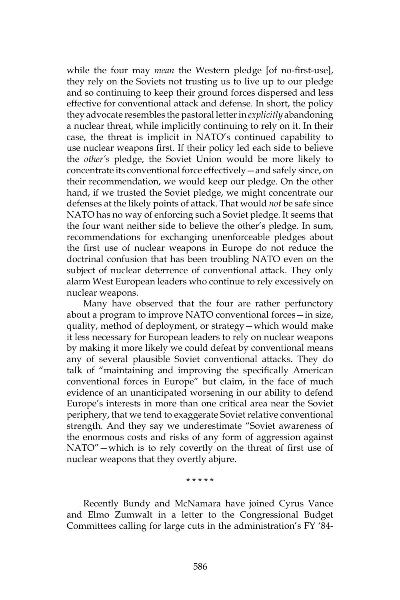while the four may *mean* the Western pledge [of no-first-use], they rely on the Soviets not trusting us to live up to our pledge and so continuing to keep their ground forces dispersed and less effective for conventional attack and defense. In short, the policy they advocate resembles the pastoral letter in *explicitly* abandoning a nuclear threat, while implicitly continuing to rely on it. In their case, the threat is implicit in NATO's continued capability to use nuclear weapons first. If their policy led each side to believe the *other's* pledge, the Soviet Union would be more likely to concentrate its conventional force effectively—and safely since, on their recommendation, we would keep our pledge. On the other hand, if we trusted the Soviet pledge, we might concentrate our defenses at the likely points of attack. That would *not* be safe since NATO has no way of enforcing such a Soviet pledge. It seems that the four want neither side to believe the other's pledge. In sum, recommendations for exchanging unenforceable pledges about the first use of nuclear weapons in Europe do not reduce the doctrinal confusion that has been troubling NATO even on the subject of nuclear deterrence of conventional attack. They only alarm West European leaders who continue to rely excessively on nuclear weapons.

Many have observed that the four are rather perfunctory about a program to improve NATO conventional forces—in size, quality, method of deployment, or strategy—which would make it less necessary for European leaders to rely on nuclear weapons by making it more likely we could defeat by conventional means any of several plausible Soviet conventional attacks. They do talk of "maintaining and improving the specifically American conventional forces in Europe" but claim, in the face of much evidence of an unanticipated worsening in our ability to defend Europe's interests in more than one critical area near the Soviet periphery, that we tend to exaggerate Soviet relative conventional strength. And they say we underestimate "Soviet awareness of the enormous costs and risks of any form of aggression against NATO"—which is to rely covertly on the threat of first use of nuclear weapons that they overtly abjure.

\* \* \* \* \*

Recently Bundy and McNamara have joined Cyrus Vance and Elmo Zumwalt in a letter to the Congressional Budget Committees calling for large cuts in the administration's FY '84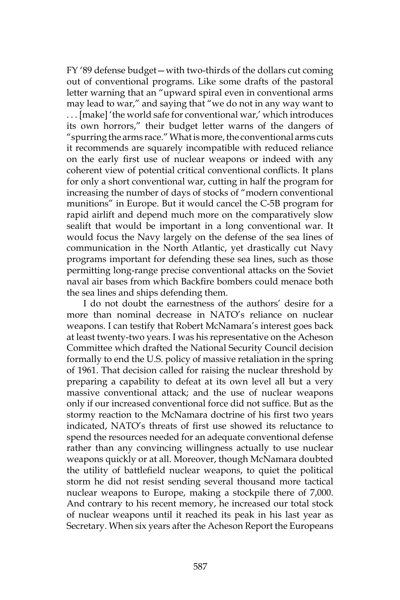FY '89 defense budget—with two-thirds of the dollars cut coming out of conventional programs. Like some drafts of the pastoral letter warning that an "upward spiral even in conventional arms may lead to war," and saying that "we do not in any way want to . . . [make] 'the world safe for conventional war,' which introduces its own horrors," their budget letter warns of the dangers of "spurring the arms race." What is more, the conventional arms cuts it recommends are squarely incompatible with reduced reliance on the early first use of nuclear weapons or indeed with any coherent view of potential critical conventional conflicts. It plans for only a short conventional war, cutting in half the program for increasing the number of days of stocks of "modern conventional munitions" in Europe. But it would cancel the C-5B program for rapid airlift and depend much more on the comparatively slow sealift that would be important in a long conventional war. It would focus the Navy largely on the defense of the sea lines of communication in the North Atlantic, yet drastically cut Navy programs important for defending these sea lines, such as those permitting long-range precise conventional attacks on the Soviet naval air bases from which Backfire bombers could menace both the sea lines and ships defending them.

I do not doubt the earnestness of the authors' desire for a more than nominal decrease in NATO's reliance on nuclear weapons. I can testify that Robert McNamara's interest goes back at least twenty-two years. I was his representative on the Acheson Committee which drafted the National Security Council decision formally to end the U.S. policy of massive retaliation in the spring of 1961. That decision called for raising the nuclear threshold by preparing a capability to defeat at its own level all but a very massive conventional attack; and the use of nuclear weapons only if our increased conventional force did not suffice. But as the stormy reaction to the McNamara doctrine of his first two years indicated, NATO's threats of first use showed its reluctance to spend the resources needed for an adequate conventional defense rather than any convincing willingness actually to use nuclear weapons quickly or at all. Moreover, though McNamara doubted the utility of battlefield nuclear weapons, to quiet the political storm he did not resist sending several thousand more tactical nuclear weapons to Europe, making a stockpile there of 7,000. And contrary to his recent memory, he increased our total stock of nuclear weapons until it reached its peak in his last year as Secretary. When six years after the Acheson Report the Europeans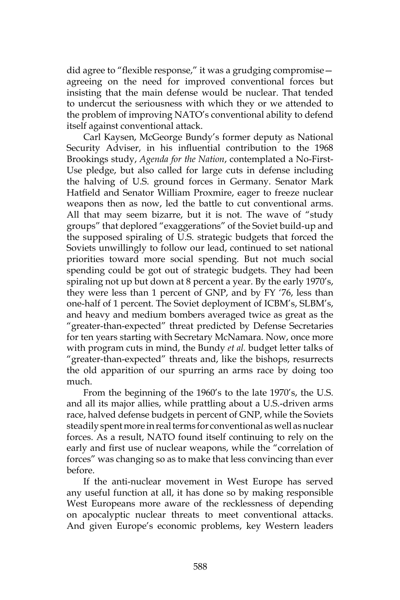did agree to "flexible response," it was a grudging compromise agreeing on the need for improved conventional forces but insisting that the main defense would be nuclear. That tended to undercut the seriousness with which they or we attended to the problem of improving NATO's conventional ability to defend itself against conventional attack.

Carl Kaysen, McGeorge Bundy's former deputy as National Security Adviser, in his influential contribution to the 1968 Brookings study, *Agenda for the Nation*, contemplated a No-First-Use pledge, but also called for large cuts in defense including the halving of U.S. ground forces in Germany. Senator Mark Hatfield and Senator William Proxmire, eager to freeze nuclear weapons then as now, led the battle to cut conventional arms. All that may seem bizarre, but it is not. The wave of "study groups" that deplored "exaggerations" of the Soviet build-up and the supposed spiraling of U.S. strategic budgets that forced the Soviets unwillingly to follow our lead, continued to set national priorities toward more social spending. But not much social spending could be got out of strategic budgets. They had been spiraling not up but down at 8 percent a year. By the early 1970's, they were less than 1 percent of GNP, and by FY '76, less than one-half of 1 percent. The Soviet deployment of ICBM's, SLBM's, and heavy and medium bombers averaged twice as great as the "greater-than-expected" threat predicted by Defense Secretaries for ten years starting with Secretary McNamara. Now, once more with program cuts in mind, the Bundy *et al.* budget letter talks of "greater-than-expected" threats and, like the bishops, resurrects the old apparition of our spurring an arms race by doing too much.

From the beginning of the 1960's to the late 1970's, the U.S. and all its major allies, while prattling about a U.S.-driven arms race, halved defense budgets in percent of GNP, while the Soviets steadily spent more in real terms for conventional as well as nuclear forces. As a result, NATO found itself continuing to rely on the early and first use of nuclear weapons, while the "correlation of forces" was changing so as to make that less convincing than ever before.

If the anti-nuclear movement in West Europe has served any useful function at all, it has done so by making responsible West Europeans more aware of the recklessness of depending on apocalyptic nuclear threats to meet conventional attacks. And given Europe's economic problems, key Western leaders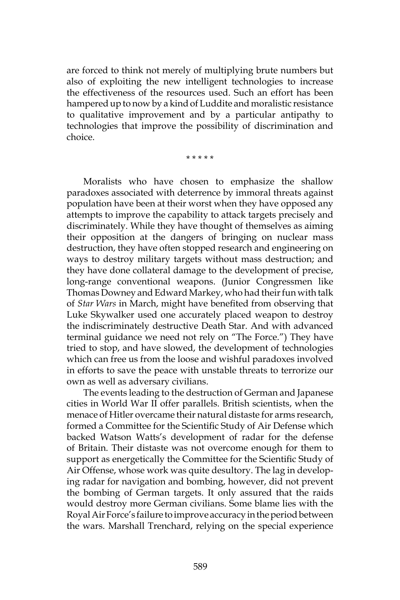are forced to think not merely of multiplying brute numbers but also of exploiting the new intelligent technologies to increase the effectiveness of the resources used. Such an effort has been hampered up to now by a kind of Luddite and moralistic resistance to qualitative improvement and by a particular antipathy to technologies that improve the possibility of discrimination and choice.

\* \* \* \* \*

Moralists who have chosen to emphasize the shallow paradoxes associated with deterrence by immoral threats against population have been at their worst when they have opposed any attempts to improve the capability to attack targets precisely and discriminately. While they have thought of themselves as aiming their opposition at the dangers of bringing on nuclear mass destruction, they have often stopped research and engineering on ways to destroy military targets without mass destruction; and they have done collateral damage to the development of precise, long-range conventional weapons. (Junior Congressmen like Thomas Downey and Edward Markey, who had their fun with talk of *Star Wars* in March, might have benefited from observing that Luke Skywalker used one accurately placed weapon to destroy the indiscriminately destructive Death Star. And with advanced terminal guidance we need not rely on "The Force.") They have tried to stop, and have slowed, the development of technologies which can free us from the loose and wishful paradoxes involved in efforts to save the peace with unstable threats to terrorize our own as well as adversary civilians.

The events leading to the destruction of German and Japanese cities in World War II offer parallels. British scientists, when the menace of Hitler overcame their natural distaste for arms research, formed a Committee for the Scientific Study of Air Defense which backed Watson Watts's development of radar for the defense of Britain. Their distaste was not overcome enough for them to support as energetically the Committee for the Scientific Study of Air Offense, whose work was quite desultory. The lag in developing radar for navigation and bombing, however, did not prevent the bombing of German targets. It only assured that the raids would destroy more German civilians. Some blame lies with the Royal Air Force's failure to improve accuracy in the period between the wars. Marshall Trenchard, relying on the special experience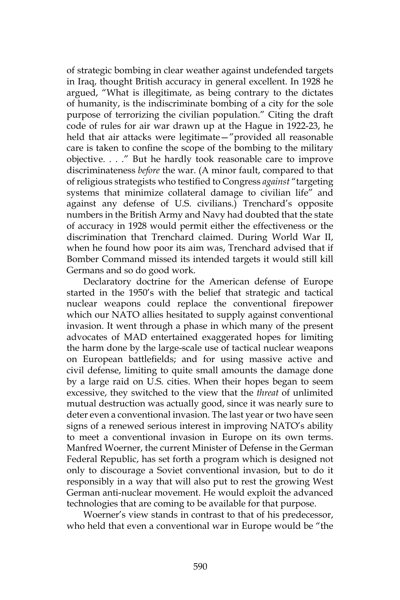of strategic bombing in clear weather against undefended targets in Iraq, thought British accuracy in general excellent. In 1928 he argued, "What is illegitimate, as being contrary to the dictates of humanity, is the indiscriminate bombing of a city for the sole purpose of terrorizing the civilian population." Citing the draft code of rules for air war drawn up at the Hague in 1922-23, he held that air attacks were legitimate—"provided all reasonable care is taken to confine the scope of the bombing to the military objective. . . ." But he hardly took reasonable care to improve discriminateness *before* the war. (A minor fault, compared to that of religious strategists who testified to Congress *against* "targeting systems that minimize collateral damage to civilian life" and against any defense of U.S. civilians.) Trenchard's opposite numbers in the British Army and Navy had doubted that the state of accuracy in 1928 would permit either the effectiveness or the discrimination that Trenchard claimed. During World War II, when he found how poor its aim was, Trenchard advised that if Bomber Command missed its intended targets it would still kill Germans and so do good work.

Declaratory doctrine for the American defense of Europe started in the 1950's with the belief that strategic and tactical nuclear weapons could replace the conventional firepower which our NATO allies hesitated to supply against conventional invasion. It went through a phase in which many of the present advocates of MAD entertained exaggerated hopes for limiting the harm done by the large-scale use of tactical nuclear weapons on European battlefields; and for using massive active and civil defense, limiting to quite small amounts the damage done by a large raid on U.S. cities. When their hopes began to seem excessive, they switched to the view that the *threat* of unlimited mutual destruction was actually good, since it was nearly sure to deter even a conventional invasion. The last year or two have seen signs of a renewed serious interest in improving NATO's ability to meet a conventional invasion in Europe on its own terms. Manfred Woerner, the current Minister of Defense in the German Federal Republic, has set forth a program which is designed not only to discourage a Soviet conventional invasion, but to do it responsibly in a way that will also put to rest the growing West German anti-nuclear movement. He would exploit the advanced technologies that are coming to be available for that purpose.

Woerner's view stands in contrast to that of his predecessor, who held that even a conventional war in Europe would be "the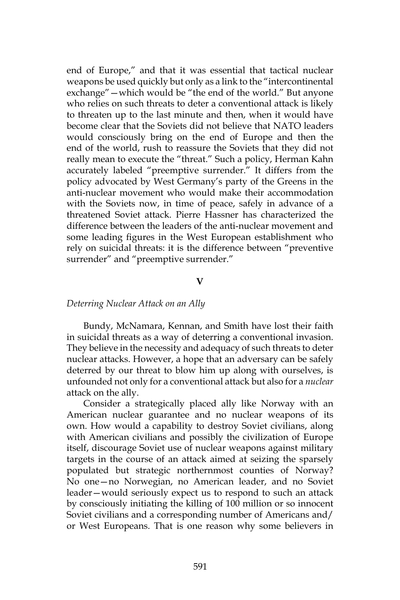end of Europe," and that it was essential that tactical nuclear weapons be used quickly but only as a link to the "intercontinental exchange"—which would be "the end of the world." But anyone who relies on such threats to deter a conventional attack is likely to threaten up to the last minute and then, when it would have become clear that the Soviets did not believe that NATO leaders would consciously bring on the end of Europe and then the end of the world, rush to reassure the Soviets that they did not really mean to execute the "threat." Such a policy, Herman Kahn accurately labeled "preemptive surrender." It differs from the policy advocated by West Germany's party of the Greens in the anti-nuclear movement who would make their accommodation with the Soviets now, in time of peace, safely in advance of a threatened Soviet attack. Pierre Hassner has characterized the difference between the leaders of the anti-nuclear movement and some leading figures in the West European establishment who rely on suicidal threats: it is the difference between "preventive surrender" and "preemptive surrender."

## **V**

## *Deterring Nuclear Attack on an Ally*

Bundy, McNamara, Kennan, and Smith have lost their faith in suicidal threats as a way of deterring a conventional invasion. They believe in the necessity and adequacy of such threats to deter nuclear attacks. However, a hope that an adversary can be safely deterred by our threat to blow him up along with ourselves, is unfounded not only for a conventional attack but also for a *nuclear* attack on the ally.

Consider a strategically placed ally like Norway with an American nuclear guarantee and no nuclear weapons of its own. How would a capability to destroy Soviet civilians, along with American civilians and possibly the civilization of Europe itself, discourage Soviet use of nuclear weapons against military targets in the course of an attack aimed at seizing the sparsely populated but strategic northernmost counties of Norway? No one—no Norwegian, no American leader, and no Soviet leader—would seriously expect us to respond to such an attack by consciously initiating the killing of 100 million or so innocent Soviet civilians and a corresponding number of Americans and/ or West Europeans. That is one reason why some believers in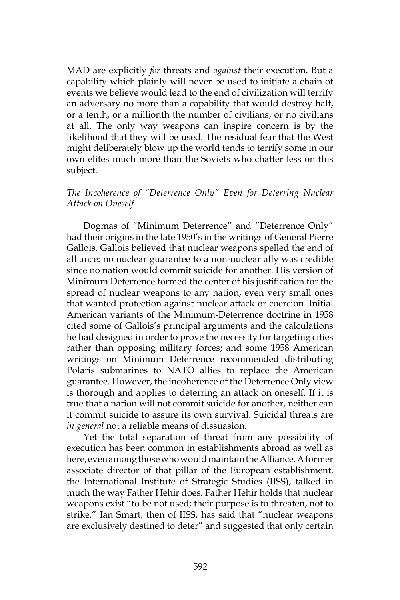MAD are explicitly *for* threats and *against* their execution. But a capability which plainly will never be used to initiate a chain of events we believe would lead to the end of civilization will terrify an adversary no more than a capability that would destroy half, or a tenth, or a millionth the number of civilians, or no civilians at all. The only way weapons can inspire concern is by the likelihood that they will be used. The residual fear that the West might deliberately blow up the world tends to terrify some in our own elites much more than the Soviets who chatter less on this subject.

# *The Incoherence of "Deterrence Only" Even for Deterring Nuclear Attack on Oneself*

Dogmas of "Minimum Deterrence" and "Deterrence Only" had their origins in the late 1950's in the writings of General Pierre Gallois. Gallois believed that nuclear weapons spelled the end of alliance: no nuclear guarantee to a non-nuclear ally was credible since no nation would commit suicide for another. His version of Minimum Deterrence formed the center of his justification for the spread of nuclear weapons to any nation, even very small ones that wanted protection against nuclear attack or coercion. Initial American variants of the Minimum-Deterrence doctrine in 1958 cited some of Gallois's principal arguments and the calculations he had designed in order to prove the necessity for targeting cities rather than opposing military forces; and some 1958 American writings on Minimum Deterrence recommended distributing Polaris submarines to NATO allies to replace the American guarantee. However, the incoherence of the Deterrence Only view is thorough and applies to deterring an attack on oneself. If it is true that a nation will not commit suicide for another, neither can it commit suicide to assure its own survival. Suicidal threats are *in general* not a reliable means of dissuasion.

Yet the total separation of threat from any possibility of execution has been common in establishments abroad as well as here, even among those who would maintain the Alliance. A former associate director of that pillar of the European establishment, the International Institute of Strategic Studies (IISS), talked in much the way Father Hehir does. Father Hehir holds that nuclear weapons exist "to be not used; their purpose is to threaten, not to strike." Ian Smart, then of IISS, has said that "nuclear weapons are exclusively destined to deter" and suggested that only certain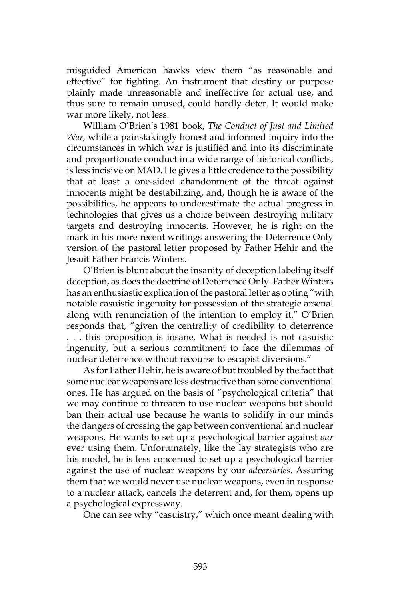misguided American hawks view them "as reasonable and effective" for fighting. An instrument that destiny or purpose plainly made unreasonable and ineffective for actual use, and thus sure to remain unused, could hardly deter. It would make war more likely, not less.

William O'Brien's 1981 book, *The Conduct of Just and Limited War,* while a painstakingly honest and informed inquiry into the circumstances in which war is justified and into its discriminate and proportionate conduct in a wide range of historical conflicts, is less incisive on MAD. He gives a little credence to the possibility that at least a one-sided abandonment of the threat against innocents might be destabilizing, and, though he is aware of the possibilities, he appears to underestimate the actual progress in technologies that gives us a choice between destroying military targets and destroying innocents. However, he is right on the mark in his more recent writings answering the Deterrence Only version of the pastoral letter proposed by Father Hehir and the Jesuit Father Francis Winters.

O'Brien is blunt about the insanity of deception labeling itself deception, as does the doctrine of Deterrence Only. Father Winters has an enthusiastic explication of the pastoral letter as opting "with notable casuistic ingenuity for possession of the strategic arsenal along with renunciation of the intention to employ it." O'Brien responds that, "given the centrality of credibility to deterrence . . . this proposition is insane. What is needed is not casuistic ingenuity, but a serious commitment to face the dilemmas of nuclear deterrence without recourse to escapist diversions."

As for Father Hehir, he is aware of but troubled by the fact that some nuclear weapons are less destructive than some conventional ones. He has argued on the basis of "psychological criteria" that we may continue to threaten to use nuclear weapons but should ban their actual use because he wants to solidify in our minds the dangers of crossing the gap between conventional and nuclear weapons. He wants to set up a psychological barrier against *our* ever using them. Unfortunately, like the lay strategists who are his model, he is less concerned to set up a psychological barrier against the use of nuclear weapons by our *adversaries*. Assuring them that we would never use nuclear weapons, even in response to a nuclear attack, cancels the deterrent and, for them, opens up a psychological expressway.

One can see why "casuistry," which once meant dealing with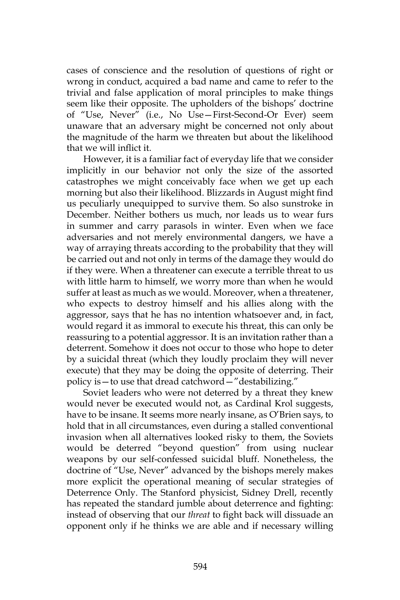cases of conscience and the resolution of questions of right or wrong in conduct, acquired a bad name and came to refer to the trivial and false application of moral principles to make things seem like their opposite. The upholders of the bishops' doctrine of "Use, Never" (i.e., No Use—First-Second-Or Ever) seem unaware that an adversary might be concerned not only about the magnitude of the harm we threaten but about the likelihood that we will inflict it.

However, it is a familiar fact of everyday life that we consider implicitly in our behavior not only the size of the assorted catastrophes we might conceivably face when we get up each morning but also their likelihood. Blizzards in August might find us peculiarly unequipped to survive them. So also sunstroke in December. Neither bothers us much, nor leads us to wear furs in summer and carry parasols in winter. Even when we face adversaries and not merely environmental dangers, we have a way of arraying threats according to the probability that they will be carried out and not only in terms of the damage they would do if they were. When a threatener can execute a terrible threat to us with little harm to himself, we worry more than when he would suffer at least as much as we would. Moreover, when a threatener, who expects to destroy himself and his allies along with the aggressor, says that he has no intention whatsoever and, in fact, would regard it as immoral to execute his threat, this can only be reassuring to a potential aggressor. It is an invitation rather than a deterrent. Somehow it does not occur to those who hope to deter by a suicidal threat (which they loudly proclaim they will never execute) that they may be doing the opposite of deterring. Their policy is—to use that dread catchword—"destabilizing."

Soviet leaders who were not deterred by a threat they knew would never be executed would not, as Cardinal Krol suggests, have to be insane. It seems more nearly insane, as O'Brien says, to hold that in all circumstances, even during a stalled conventional invasion when all alternatives looked risky to them, the Soviets would be deterred "beyond question" from using nuclear weapons by our self-confessed suicidal bluff. Nonetheless, the doctrine of "Use, Never" advanced by the bishops merely makes more explicit the operational meaning of secular strategies of Deterrence Only. The Stanford physicist, Sidney Drell, recently has repeated the standard jumble about deterrence and fighting: instead of observing that our *threat* to fight back will dissuade an opponent only if he thinks we are able and if necessary willing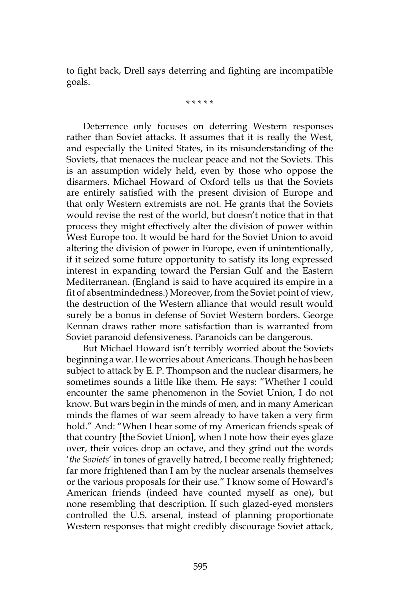to fight back, Drell says deterring and fighting are incompatible goals.

\* \* \* \* \*

Deterrence only focuses on deterring Western responses rather than Soviet attacks. It assumes that it is really the West, and especially the United States, in its misunderstanding of the Soviets, that menaces the nuclear peace and not the Soviets. This is an assumption widely held, even by those who oppose the disarmers. Michael Howard of Oxford tells us that the Soviets are entirely satisfied with the present division of Europe and that only Western extremists are not. He grants that the Soviets would revise the rest of the world, but doesn't notice that in that process they might effectively alter the division of power within West Europe too. It would be hard for the Soviet Union to avoid altering the division of power in Europe, even if unintentionally, if it seized some future opportunity to satisfy its long expressed interest in expanding toward the Persian Gulf and the Eastern Mediterranean. (England is said to have acquired its empire in a fit of absentmindedness.) Moreover, from the Soviet point of view, the destruction of the Western alliance that would result would surely be a bonus in defense of Soviet Western borders. George Kennan draws rather more satisfaction than is warranted from Soviet paranoid defensiveness. Paranoids can be dangerous.

But Michael Howard isn't terribly worried about the Soviets beginning a war. He worries about Americans. Though he has been subject to attack by E. P. Thompson and the nuclear disarmers, he sometimes sounds a little like them. He says: "Whether I could encounter the same phenomenon in the Soviet Union, I do not know. But wars begin in the minds of men, and in many American minds the flames of war seem already to have taken a very firm hold." And: "When I hear some of my American friends speak of that country [the Soviet Union], when I note how their eyes glaze over, their voices drop an octave, and they grind out the words '*the Soviets*' in tones of gravelly hatred, I become really frightened; far more frightened than I am by the nuclear arsenals themselves or the various proposals for their use." I know some of Howard's American friends (indeed have counted myself as one), but none resembling that description. If such glazed-eyed monsters controlled the U.S. arsenal, instead of planning proportionate Western responses that might credibly discourage Soviet attack,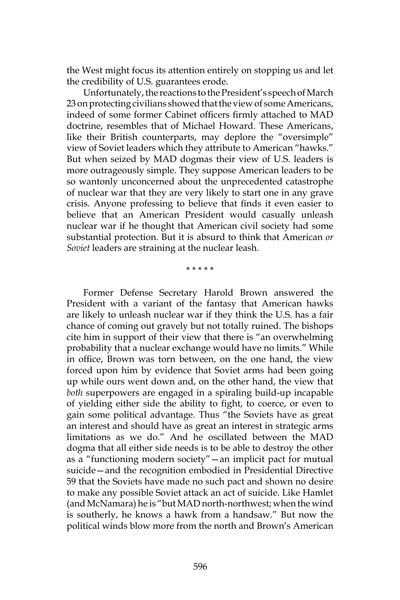the West might focus its attention entirely on stopping us and let the credibility of U.S. guarantees erode.

Unfortunately, the reactions to the President's speech of March 23 on protecting civilians showed that the view of some Americans, indeed of some former Cabinet officers firmly attached to MAD doctrine, resembles that of Michael Howard. These Americans, like their British counterparts, may deplore the "oversimple" view of Soviet leaders which they attribute to American "hawks." But when seized by MAD dogmas their view of U.S. leaders is more outrageously simple. They suppose American leaders to be so wantonly unconcerned about the unprecedented catastrophe of nuclear war that they are very likely to start one in any grave crisis. Anyone professing to believe that finds it even easier to believe that an American President would casually unleash nuclear war if he thought that American civil society had some substantial protection. But it is absurd to think that American *or Soviet* leaders are straining at the nuclear leash.

\* \* \* \* \*

Former Defense Secretary Harold Brown answered the President with a variant of the fantasy that American hawks are likely to unleash nuclear war if they think the U.S. has a fair chance of coming out gravely but not totally ruined. The bishops cite him in support of their view that there is "an overwhelming probability that a nuclear exchange would have no limits." While in office, Brown was torn between, on the one hand, the view forced upon him by evidence that Soviet arms had been going up while ours went down and, on the other hand, the view that *both* superpowers are engaged in a spiraling build-up incapable of yielding either side the ability to fight, to coerce, or even to gain some political advantage. Thus "the Soviets have as great an interest and should have as great an interest in strategic arms limitations as we do." And he oscillated between the MAD dogma that all either side needs is to be able to destroy the other as a "functioning modern society"—an implicit pact for mutual suicide—and the recognition embodied in Presidential Directive 59 that the Soviets have made no such pact and shown no desire to make any possible Soviet attack an act of suicide. Like Hamlet (and McNamara) he is "but MAD north-northwest; when the wind is southerly, he knows a hawk from a handsaw." But now the political winds blow more from the north and Brown's American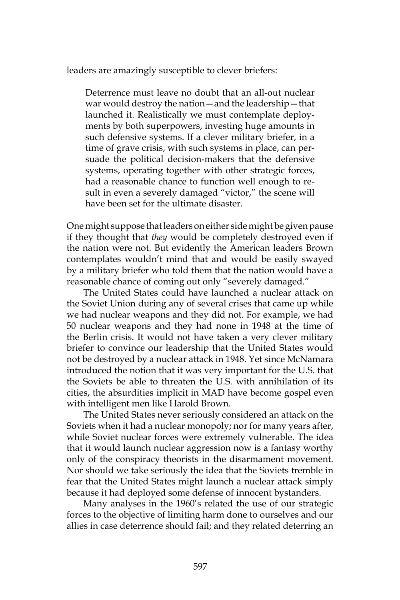leaders are amazingly susceptible to clever briefers:

Deterrence must leave no doubt that an all-out nuclear war would destroy the nation—and the leadership—that launched it. Realistically we must contemplate deployments by both superpowers, investing huge amounts in such defensive systems. If a clever military briefer, in a time of grave crisis, with such systems in place, can persuade the political decision-makers that the defensive systems, operating together with other strategic forces, had a reasonable chance to function well enough to result in even a severely damaged "victor," the scene will have been set for the ultimate disaster.

One might suppose that leaders on either side might be given pause if they thought that *they* would be completely destroyed even if the nation were not. But evidently the American leaders Brown contemplates wouldn't mind that and would be easily swayed by a military briefer who told them that the nation would have a reasonable chance of coming out only "severely damaged."

The United States could have launched a nuclear attack on the Soviet Union during any of several crises that came up while we had nuclear weapons and they did not. For example, we had 50 nuclear weapons and they had none in 1948 at the time of the Berlin crisis. It would not have taken a very clever military briefer to convince our leadership that the United States would not be destroyed by a nuclear attack in 1948. Yet since McNamara introduced the notion that it was very important for the U.S. that the Soviets be able to threaten the U.S. with annihilation of its cities, the absurdities implicit in MAD have become gospel even with intelligent men like Harold Brown.

The United States never seriously considered an attack on the Soviets when it had a nuclear monopoly; nor for many years after, while Soviet nuclear forces were extremely vulnerable. The idea that it would launch nuclear aggression now is a fantasy worthy only of the conspiracy theorists in the disarmament movement. Nor should we take seriously the idea that the Soviets tremble in fear that the United States might launch a nuclear attack simply because it had deployed some defense of innocent bystanders.

Many analyses in the 1960's related the use of our strategic forces to the objective of limiting harm done to ourselves and our allies in case deterrence should fail; and they related deterring an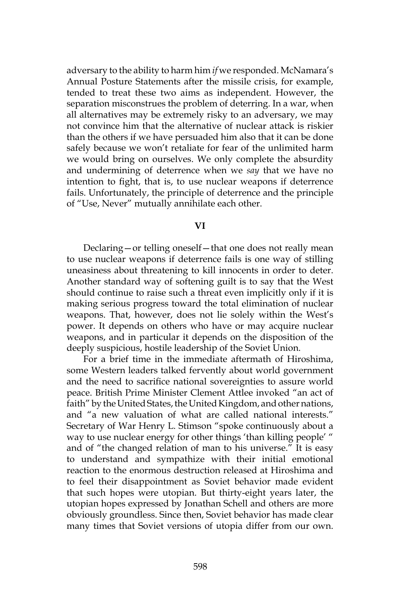adversary to the ability to harm him *if* we responded. McNamara's Annual Posture Statements after the missile crisis, for example, tended to treat these two aims as independent. However, the separation misconstrues the problem of deterring. In a war, when all alternatives may be extremely risky to an adversary, we may not convince him that the alternative of nuclear attack is riskier than the others if we have persuaded him also that it can be done safely because we won't retaliate for fear of the unlimited harm we would bring on ourselves. We only complete the absurdity and undermining of deterrence when we *say* that we have no intention to fight, that is, to use nuclear weapons if deterrence fails. Unfortunately, the principle of deterrence and the principle of "Use, Never" mutually annihilate each other.

### **VI**

Declaring—or telling oneself—that one does not really mean to use nuclear weapons if deterrence fails is one way of stilling uneasiness about threatening to kill innocents in order to deter. Another standard way of softening guilt is to say that the West should continue to raise such a threat even implicitly only if it is making serious progress toward the total elimination of nuclear weapons. That, however, does not lie solely within the West's power. It depends on others who have or may acquire nuclear weapons, and in particular it depends on the disposition of the deeply suspicious, hostile leadership of the Soviet Union.

For a brief time in the immediate aftermath of Hiroshima, some Western leaders talked fervently about world government and the need to sacrifice national sovereignties to assure world peace. British Prime Minister Clement Attlee invoked "an act of faith" by the United States, the United Kingdom, and other nations, and "a new valuation of what are called national interests." Secretary of War Henry L. Stimson "spoke continuously about a way to use nuclear energy for other things 'than killing people' " and of "the changed relation of man to his universe." It is easy to understand and sympathize with their initial emotional reaction to the enormous destruction released at Hiroshima and to feel their disappointment as Soviet behavior made evident that such hopes were utopian. But thirty-eight years later, the utopian hopes expressed by Jonathan Schell and others are more obviously groundless. Since then, Soviet behavior has made clear many times that Soviet versions of utopia differ from our own.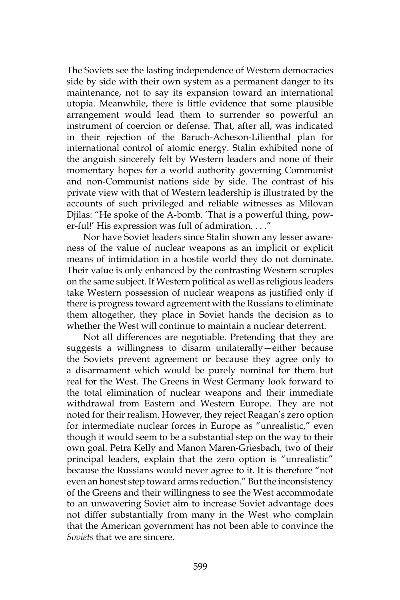The Soviets see the lasting independence of Western democracies side by side with their own system as a permanent danger to its maintenance, not to say its expansion toward an international utopia. Meanwhile, there is little evidence that some plausible arrangement would lead them to surrender so powerful an instrument of coercion or defense. That, after all, was indicated in their rejection of the Baruch-Acheson-Lilienthal plan for international control of atomic energy. Stalin exhibited none of the anguish sincerely felt by Western leaders and none of their momentary hopes for a world authority governing Communist and non-Communist nations side by side. The contrast of his private view with that of Western leadership is illustrated by the accounts of such privileged and reliable witnesses as Milovan Djilas: "He spoke of the A-bomb. 'That is a powerful thing, power-ful!' His expression was full of admiration. . . ."

Nor have Soviet leaders since Stalin shown any lesser awareness of the value of nuclear weapons as an implicit or explicit means of intimidation in a hostile world they do not dominate. Their value is only enhanced by the contrasting Western scruples on the same subject. If Western political as well as religious leaders take Western possession of nuclear weapons as justified only if there is progress toward agreement with the Russians to eliminate them altogether, they place in Soviet hands the decision as to whether the West will continue to maintain a nuclear deterrent.

Not all differences are negotiable. Pretending that they are suggests a willingness to disarm unilaterally—either because the Soviets prevent agreement or because they agree only to a disarmament which would be purely nominal for them but real for the West. The Greens in West Germany look forward to the total elimination of nuclear weapons and their immediate withdrawal from Eastern and Western Europe. They are not noted for their realism. However, they reject Reagan's zero option for intermediate nuclear forces in Europe as "unrealistic," even though it would seem to be a substantial step on the way to their own goal. Petra Kelly and Manon Maren-Griesbach, two of their principal leaders, explain that the zero option is "unrealistic" because the Russians would never agree to it. It is therefore "not even an honest step toward arms reduction." But the inconsistency of the Greens and their willingness to see the West accommodate to an unwavering Soviet aim to increase Soviet advantage does not differ substantially from many in the West who complain that the American government has not been able to convince the *Soviets* that we are sincere.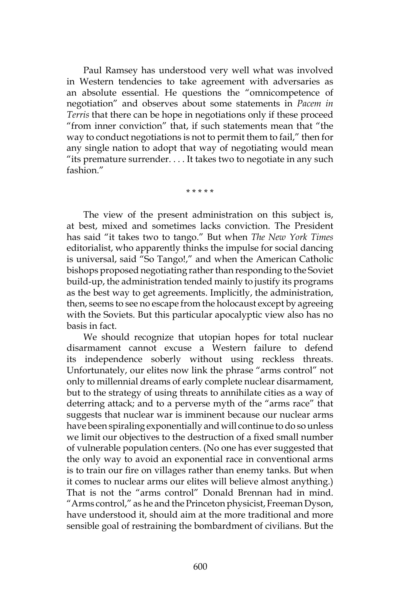Paul Ramsey has understood very well what was involved in Western tendencies to take agreement with adversaries as an absolute essential. He questions the "omnicompetence of negotiation" and observes about some statements in *Pacem in Terris* that there can be hope in negotiations only if these proceed "from inner conviction" that, if such statements mean that "the way to conduct negotiations is not to permit them to fail," then for any single nation to adopt that way of negotiating would mean "its premature surrender. . . . It takes two to negotiate in any such fashion."

\* \* \* \* \*

The view of the present administration on this subject is, at best, mixed and sometimes lacks conviction. The President has said "it takes two to tango." But when *The New York Times*  editorialist, who apparently thinks the impulse for social dancing is universal, said "So Tango!," and when the American Catholic bishops proposed negotiating rather than responding to the Soviet build-up, the administration tended mainly to justify its programs as the best way to get agreements. Implicitly, the administration, then, seems to see no escape from the holocaust except by agreeing with the Soviets. But this particular apocalyptic view also has no basis in fact.

We should recognize that utopian hopes for total nuclear disarmament cannot excuse a Western failure to defend its independence soberly without using reckless threats. Unfortunately, our elites now link the phrase "arms control" not only to millennial dreams of early complete nuclear disarmament, but to the strategy of using threats to annihilate cities as a way of deterring attack; and to a perverse myth of the "arms race" that suggests that nuclear war is imminent because our nuclear arms have been spiraling exponentially and will continue to do so unless we limit our objectives to the destruction of a fixed small number of vulnerable population centers. (No one has ever suggested that the only way to avoid an exponential race in conventional arms is to train our fire on villages rather than enemy tanks. But when it comes to nuclear arms our elites will believe almost anything.) That is not the "arms control" Donald Brennan had in mind. "Arms control," as he and the Princeton physicist, Freeman Dyson, have understood it, should aim at the more traditional and more sensible goal of restraining the bombardment of civilians. But the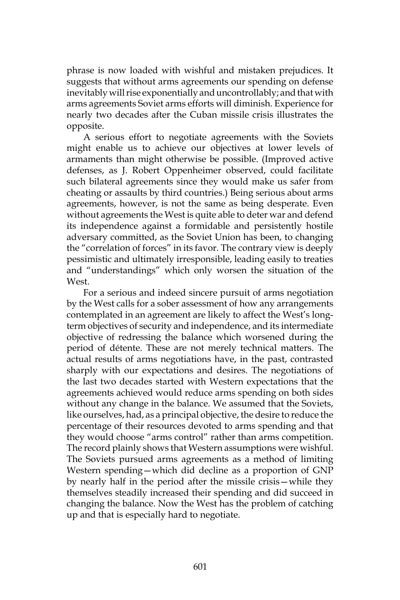phrase is now loaded with wishful and mistaken prejudices. It suggests that without arms agreements our spending on defense inevitably will rise exponentially and uncontrollably; and that with arms agreements Soviet arms efforts will diminish. Experience for nearly two decades after the Cuban missile crisis illustrates the opposite.

A serious effort to negotiate agreements with the Soviets might enable us to achieve our objectives at lower levels of armaments than might otherwise be possible. (Improved active defenses, as J. Robert Oppenheimer observed, could facilitate such bilateral agreements since they would make us safer from cheating or assaults by third countries.) Being serious about arms agreements, however, is not the same as being desperate. Even without agreements the West is quite able to deter war and defend its independence against a formidable and persistently hostile adversary committed, as the Soviet Union has been, to changing the "correlation of forces" in its favor. The contrary view is deeply pessimistic and ultimately irresponsible, leading easily to treaties and "understandings" which only worsen the situation of the West.

For a serious and indeed sincere pursuit of arms negotiation by the West calls for a sober assessment of how any arrangements contemplated in an agreement are likely to affect the West's longterm objectives of security and independence, and its intermediate objective of redressing the balance which worsened during the period of détente. These are not merely technical matters. The actual results of arms negotiations have, in the past, contrasted sharply with our expectations and desires. The negotiations of the last two decades started with Western expectations that the agreements achieved would reduce arms spending on both sides without any change in the balance. We assumed that the Soviets, like ourselves, had, as a principal objective, the desire to reduce the percentage of their resources devoted to arms spending and that they would choose "arms control" rather than arms competition. The record plainly shows that Western assumptions were wishful. The Soviets pursued arms agreements as a method of limiting Western spending—which did decline as a proportion of GNP by nearly half in the period after the missile crisis—while they themselves steadily increased their spending and did succeed in changing the balance. Now the West has the problem of catching up and that is especially hard to negotiate.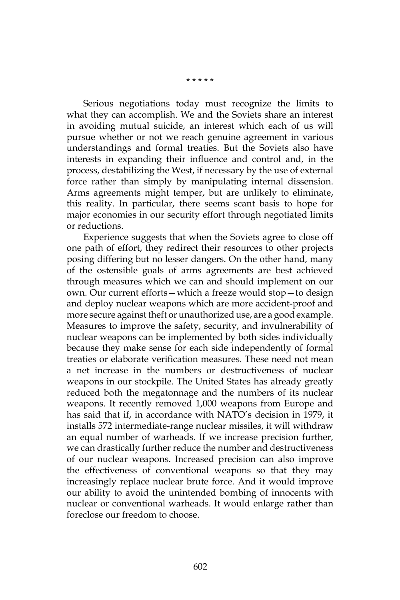\* \* \* \* \*

Serious negotiations today must recognize the limits to what they can accomplish. We and the Soviets share an interest in avoiding mutual suicide, an interest which each of us will pursue whether or not we reach genuine agreement in various understandings and formal treaties. But the Soviets also have interests in expanding their influence and control and, in the process, destabilizing the West, if necessary by the use of external force rather than simply by manipulating internal dissension. Arms agreements might temper, but are unlikely to eliminate, this reality. In particular, there seems scant basis to hope for major economies in our security effort through negotiated limits or reductions.

Experience suggests that when the Soviets agree to close off one path of effort, they redirect their resources to other projects posing differing but no lesser dangers. On the other hand, many of the ostensible goals of arms agreements are best achieved through measures which we can and should implement on our own. Our current efforts—which a freeze would stop—to design and deploy nuclear weapons which are more accident-proof and more secure against theft or unauthorized use, are a good example. Measures to improve the safety, security, and invulnerability of nuclear weapons can be implemented by both sides individually because they make sense for each side independently of formal treaties or elaborate verification measures. These need not mean a net increase in the numbers or destructiveness of nuclear weapons in our stockpile. The United States has already greatly reduced both the megatonnage and the numbers of its nuclear weapons. It recently removed 1,000 weapons from Europe and has said that if, in accordance with NATO's decision in 1979, it installs 572 intermediate-range nuclear missiles, it will withdraw an equal number of warheads. If we increase precision further, we can drastically further reduce the number and destructiveness of our nuclear weapons. Increased precision can also improve the effectiveness of conventional weapons so that they may increasingly replace nuclear brute force. And it would improve our ability to avoid the unintended bombing of innocents with nuclear or conventional warheads. It would enlarge rather than foreclose our freedom to choose.